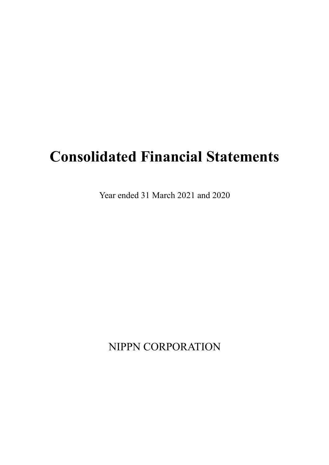# **Consolidated Financial Statements**

Year ended 31 March 2021 and 2020

NIPPN CORPORATION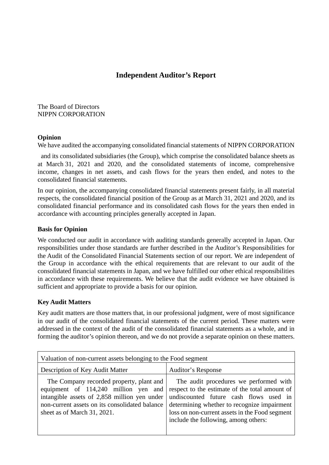### **Independent Auditor's Report**

The Board of Directors NIPPN CORPORATION

#### **Opinion**

We have audited the accompanying consolidated financial statements of NIPPN CORPORATION

 and its consolidated subsidiaries (the Group), which comprise the consolidated balance sheets as at March 31, 2021 and 2020, and the consolidated statements of income, comprehensive income, changes in net assets, and cash flows for the years then ended, and notes to the consolidated financial statements.

In our opinion, the accompanying consolidated financial statements present fairly, in all material respects, the consolidated financial position of the Group as at March 31, 2021 and 2020, and its consolidated financial performance and its consolidated cash flows for the years then ended in accordance with accounting principles generally accepted in Japan.

#### **Basis for Opinion**

We conducted our audit in accordance with auditing standards generally accepted in Japan. Our responsibilities under those standards are further described in the Auditor's Responsibilities for the Audit of the Consolidated Financial Statements section of our report. We are independent of the Group in accordance with the ethical requirements that are relevant to our audit of the consolidated financial statements in Japan, and we have fulfilled our other ethical responsibilities in accordance with these requirements. We believe that the audit evidence we have obtained is sufficient and appropriate to provide a basis for our opinion.

#### **Key Audit Matters**

Key audit matters are those matters that, in our professional judgment, were of most significance in our audit of the consolidated financial statements of the current period. These matters were addressed in the context of the audit of the consolidated financial statements as a whole, and in forming the auditor's opinion thereon, and we do not provide a separate opinion on these matters.

| Valuation of non-current assets belonging to the Food segment                                                                                                             |                                                                                                                                                                                                                                                                                                                    |  |  |  |  |
|---------------------------------------------------------------------------------------------------------------------------------------------------------------------------|--------------------------------------------------------------------------------------------------------------------------------------------------------------------------------------------------------------------------------------------------------------------------------------------------------------------|--|--|--|--|
| Description of Key Audit Matter                                                                                                                                           | Auditor's Response                                                                                                                                                                                                                                                                                                 |  |  |  |  |
| The Company recorded property, plant and<br>intangible assets of 2,858 million yen under<br>non-current assets on its consolidated balance<br>sheet as of March 31, 2021. | The audit procedures we performed with<br>equipment of $114,240$ million yen and respect to the estimate of the total amount of<br>undiscounted future cash flows used in<br>determining whether to recognize impairment<br>loss on non-current assets in the Food segment<br>include the following, among others: |  |  |  |  |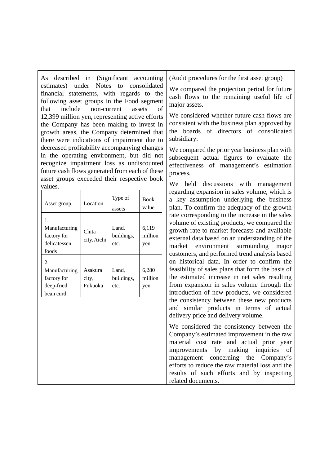As described in (Significant accounting estimates) under Notes to consolidated financial statements, with regards to the following asset groups in the Food segment that include non-current assets of 12,399 million yen, representing active efforts the Company has been making to invest in growth areas, the Company determined that there were indications of impairment due to decreased profitability accompanying changes in the operating environment, but did not recognize impairment loss as undiscounted future cash flows generated from each of these asset groups exceeded their respective book values.

| Asset group                                                   | Location                    | Type of<br>assets           | <b>Book</b><br>value    |
|---------------------------------------------------------------|-----------------------------|-----------------------------|-------------------------|
| 1.<br>Manufacturing<br>factory for<br>delicatessen<br>foods   | Chita<br>city, Aichi        | Land.<br>buildings,<br>etc. | 6,119<br>million<br>yen |
| 2.<br>Manufacturing<br>factory for<br>deep-fried<br>bean curd | Asakura<br>city,<br>Fukuoka | Land,<br>buildings,<br>etc. | 6,280<br>million<br>yen |

(Audit procedures for the first asset group)

We compared the projection period for future cash flows to the remaining useful life of major assets.

We considered whether future cash flows are consistent with the business plan approved by the boards of directors of consolidated subsidiary.

We compared the prior year business plan with subsequent actual figures to evaluate the effectiveness of management's estimation process.

We held discussions with management regarding expansion in sales volume, which is a key assumption underlying the business plan. To confirm the adequacy of the growth rate corresponding to the increase in the sales volume of existing products, we compared the growth rate to market forecasts and available external data based on an understanding of the market environment surrounding major customers, and performed trend analysis based on historical data. In order to confirm the feasibility of sales plans that form the basis of the estimated increase in net sales resulting from expansion in sales volume through the introduction of new products, we considered the consistency between these new products and similar products in terms of actual delivery price and delivery volume.

We considered the consistency between the Company's estimated improvement in the raw material cost rate and actual prior year improvements by making inquiries of management concerning the Company's efforts to reduce the raw material loss and the results of such efforts and by inspecting related documents.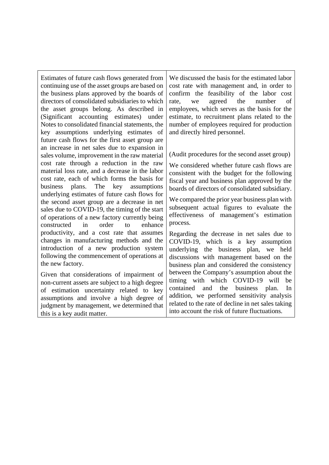Estimates of future cash flows generated from continuing use of the asset groups are based on the business plans approved by the boards of directors of consolidated subsidiaries to which the asset groups belong. As described in (Significant accounting estimates) under Notes to consolidated financial statements, the key assumptions underlying estimates of future cash flows for the first asset group are an increase in net sales due to expansion in sales volume, improvement in the raw material cost rate through a reduction in the raw material loss rate, and a decrease in the labor cost rate, each of which forms the basis for business plans. The key assumptions underlying estimates of future cash flows for the second asset group are a decrease in net sales due to COVID-19, the timing of the start of operations of a new factory currently being constructed in order to enhance productivity, and a cost rate that assumes changes in manufacturing methods and the introduction of a new production system following the commencement of operations at the new factory.

Given that considerations of impairment of non-current assets are subject to a high degree of estimation uncertainty related to key assumptions and involve a high degree of judgment by management, we determined that this is a key audit matter.

We discussed the basis for the estimated labor cost rate with management and, in order to confirm the feasibility of the labor cost rate, we agreed the number of employees, which serves as the basis for the estimate, to recruitment plans related to the number of employees required for production and directly hired personnel.

(Audit procedures for the second asset group)

We considered whether future cash flows are consistent with the budget for the following fiscal year and business plan approved by the boards of directors of consolidated subsidiary.

We compared the prior year business plan with subsequent actual figures to evaluate the effectiveness of management's estimation process.

Regarding the decrease in net sales due to COVID-19, which is a key assumption underlying the business plan, we held discussions with management based on the business plan and considered the consistency between the Company's assumption about the timing with which COVID-19 will be contained and the business plan. In addition, we performed sensitivity analysis related to the rate of decline in net sales taking into account the risk of future fluctuations.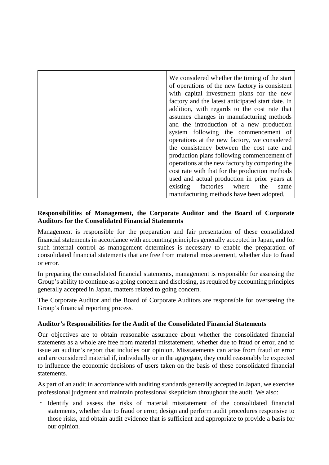| We considered whether the timing of the start     |
|---------------------------------------------------|
| of operations of the new factory is consistent    |
| with capital investment plans for the new         |
| factory and the latest anticipated start date. In |
| addition, with regards to the cost rate that      |
| assumes changes in manufacturing methods          |
| and the introduction of a new production          |
| system following the commencement of              |
| operations at the new factory, we considered      |
| the consistency between the cost rate and         |
| production plans following commencement of        |
| operations at the new factory by comparing the    |
| cost rate with that for the production methods    |
| used and actual production in prior years at      |
| existing factories where the<br>same              |
| manufacturing methods have been adopted.          |

#### **Responsibilities of Management, the Corporate Auditor and the Board of Corporate Auditors for the Consolidated Financial Statements**

Management is responsible for the preparation and fair presentation of these consolidated financial statements in accordance with accounting principles generally accepted in Japan, and for such internal control as management determines is necessary to enable the preparation of consolidated financial statements that are free from material misstatement, whether due to fraud or error.

In preparing the consolidated financial statements, management is responsible for assessing the Group's ability to continue as a going concern and disclosing, as required by accounting principles generally accepted in Japan, matters related to going concern.

The Corporate Auditor and the Board of Corporate Auditors are responsible for overseeing the Group's financial reporting process.

#### **Auditor's Responsibilities for the Audit of the Consolidated Financial Statements**

Our objectives are to obtain reasonable assurance about whether the consolidated financial statements as a whole are free from material misstatement, whether due to fraud or error, and to issue an auditor's report that includes our opinion. Misstatements can arise from fraud or error and are considered material if, individually or in the aggregate, they could reasonably be expected to influence the economic decisions of users taken on the basis of these consolidated financial statements.

As part of an audit in accordance with auditing standards generally accepted in Japan, we exercise professional judgment and maintain professional skepticism throughout the audit. We also:

Identify and assess the risks of material misstatement of the consolidated financial statements, whether due to fraud or error, design and perform audit procedures responsive to those risks, and obtain audit evidence that is sufficient and appropriate to provide a basis for our opinion.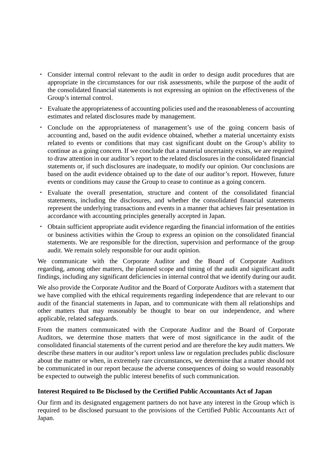- ・ Consider internal control relevant to the audit in order to design audit procedures that are appropriate in the circumstances for our risk assessments, while the purpose of the audit of the consolidated financial statements is not expressing an opinion on the effectiveness of the Group's internal control.
- ・ Evaluate the appropriateness of accounting policies used and the reasonableness of accounting estimates and related disclosures made by management.
- ・ Conclude on the appropriateness of management's use of the going concern basis of accounting and, based on the audit evidence obtained, whether a material uncertainty exists related to events or conditions that may cast significant doubt on the Group's ability to continue as a going concern. If we conclude that a material uncertainty exists, we are required to draw attention in our auditor's report to the related disclosures in the consolidated financial statements or, if such disclosures are inadequate, to modify our opinion. Our conclusions are based on the audit evidence obtained up to the date of our auditor's report. However, future events or conditions may cause the Group to cease to continue as a going concern.
- ・ Evaluate the overall presentation, structure and content of the consolidated financial statements, including the disclosures, and whether the consolidated financial statements represent the underlying transactions and events in a manner that achieves fair presentation in accordance with accounting principles generally accepted in Japan.
- ・ Obtain sufficient appropriate audit evidence regarding the financial information of the entities or business activities within the Group to express an opinion on the consolidated financial statements. We are responsible for the direction, supervision and performance of the group audit. We remain solely responsible for our audit opinion.

We communicate with the Corporate Auditor and the Board of Corporate Auditors regarding, among other matters, the planned scope and timing of the audit and significant audit findings, including any significant deficiencies in internal control that we identify during our audit.

We also provide the Corporate Auditor and the Board of Corporate Auditors with a statement that we have complied with the ethical requirements regarding independence that are relevant to our audit of the financial statements in Japan, and to communicate with them all relationships and other matters that may reasonably be thought to bear on our independence, and where applicable, related safeguards.

From the matters communicated with the Corporate Auditor and the Board of Corporate Auditors, we determine those matters that were of most significance in the audit of the consolidated financial statements of the current period and are therefore the key audit matters. We describe these matters in our auditor's report unless law or regulation precludes public disclosure about the matter or when, in extremely rare circumstances, we determine that a matter should not be communicated in our report because the adverse consequences of doing so would reasonably be expected to outweigh the public interest benefits of such communication.

#### **Interest Required to Be Disclosed by the Certified Public Accountants Act of Japan**

Our firm and its designated engagement partners do not have any interest in the Group which is required to be disclosed pursuant to the provisions of the Certified Public Accountants Act of Japan.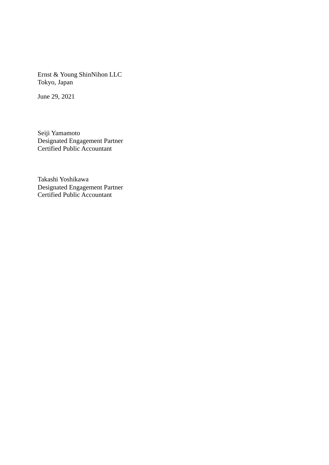Ernst & Young ShinNihon LLC Tokyo, Japan

June 29, 2021

Seiji Yamamoto Designated Engagement Partner Certified Public Accountant

Takashi Yoshikawa Designated Engagement Partner Certified Public Accountant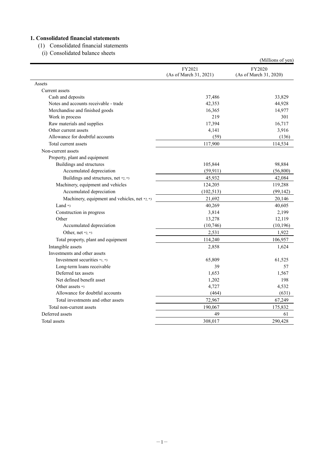#### **1. Consolidated financial statements**

(1) Consolidated financial statements

(i) Consolidated balance sheets

|                                               |                                  | (Millions of yen)                |
|-----------------------------------------------|----------------------------------|----------------------------------|
|                                               | FY2021<br>(As of March 31, 2021) | FY2020<br>(As of March 31, 2020) |
| Assets                                        |                                  |                                  |
| Current assets                                |                                  |                                  |
| Cash and deposits                             | 37,486                           | 33,829                           |
| Notes and accounts receivable - trade         | 42,353                           | 44,928                           |
| Merchandise and finished goods                | 16,365                           | 14,977                           |
| Work in process                               | 219                              | 301                              |
| Raw materials and supplies                    | 17,394                           | 16,717                           |
| Other current assets                          | 4,141                            | 3,916                            |
| Allowance for doubtful accounts               | (59)                             | (136)                            |
| Total current assets                          | 117,900                          | 114,534                          |
| Non-current assets                            |                                  |                                  |
| Property, plant and equipment                 |                                  |                                  |
| Buildings and structures                      | 105,844                          | 98,884                           |
| Accumulated depreciation                      | (59, 911)                        | (56,800)                         |
| Buildings and structures, net *2, *3          | 45,932                           | 42,084                           |
| Machinery, equipment and vehicles             | 124,205                          | 119,288                          |
| Accumulated depreciation                      | (102, 513)                       | (99, 142)                        |
| Machinery, equipment and vehicles, net *2, *3 | 21,692                           | 20,146                           |
| Land $*$ 3                                    | 40,269                           | 40,605                           |
| Construction in progress                      | 3,814                            | 2,199                            |
| Other                                         | 13,278                           | 12,119                           |
| Accumulated depreciation                      | (10,746)                         | (10, 196)                        |
| Other, net *2, *3                             | 2,531                            | 1,922                            |
| Total property, plant and equipment           | 114,240                          | 106,957                          |
| Intangible assets                             | 2,858                            | 1,624                            |
| Investments and other assets                  |                                  |                                  |
| Investment securities *1, *3                  | 65,809                           | 61,525                           |
| Long-term loans receivable                    | 39                               | 57                               |
| Deferred tax assets                           | 1,653                            | 1,567                            |
| Net defined benefit asset                     | 1,202                            | 198                              |
| Other assets *3                               | 4,727                            | 4,532                            |
| Allowance for doubtful accounts               | (464)                            | (631)                            |
| Total investments and other assets            | 72,967                           | 67,249                           |
| Total non-current assets                      | 190,067                          | 175,832                          |
| Deferred assets                               | 49                               | 61                               |
| Total assets                                  |                                  | 290,428                          |
|                                               | 308,017                          |                                  |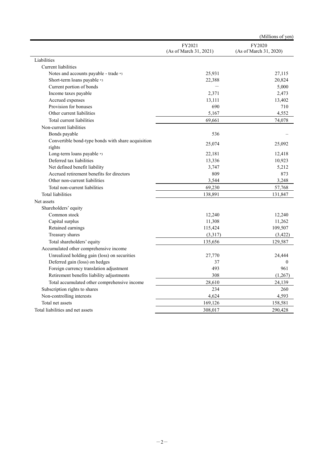|                                                    |                                  | (Millions of yen)                |
|----------------------------------------------------|----------------------------------|----------------------------------|
|                                                    | FY2021<br>(As of March 31, 2021) | FY2020<br>(As of March 31, 2020) |
| Liabilities                                        |                                  |                                  |
| Current liabilities                                |                                  |                                  |
| Notes and accounts payable - trade *3              | 25,931                           | 27,115                           |
| Short-term loans payable *3                        | 22,388                           | 20,824                           |
| Current portion of bonds                           |                                  | 5,000                            |
| Income taxes payable                               | 2,371                            | 2,473                            |
| Accrued expenses                                   | 13,111                           | 13,402                           |
| Provision for bonuses                              | 690                              | 710                              |
| Other current liabilities                          | 5,167                            | 4,552                            |
| Total current liabilities                          | 69,661                           | 74,078                           |
| Non-current liabilities                            |                                  |                                  |
| Bonds payable                                      | 536                              |                                  |
| Convertible bond-type bonds with share acquisition |                                  |                                  |
| rights                                             | 25,074                           | 25,092                           |
| Long-term loans payable *3                         | 22,181                           | 12,418                           |
| Deferred tax liabilities                           | 13,336                           | 10,923                           |
| Net defined benefit liability                      | 3,747                            | 5,212                            |
| Accrued retirement benefits for directors          | 809                              | 873                              |
| Other non-current liabilities                      | 3,544                            | 3,248                            |
| Total non-current liabilities                      | 69,230                           | 57,768                           |
| <b>Total liabilities</b>                           | 138,891                          | 131,847                          |
| Net assets                                         |                                  |                                  |
| Shareholders' equity                               |                                  |                                  |
| Common stock                                       | 12,240                           | 12,240                           |
| Capital surplus                                    | 11,308                           | 11,262                           |
| Retained earnings                                  | 115,424                          | 109,507                          |
| Treasury shares                                    | (3,317)                          | (3,422)                          |
| Total shareholders' equity                         | 135,656                          | 129,587                          |
| Accumulated other comprehensive income             |                                  |                                  |
| Unrealized holding gain (loss) on securities       | 27,770                           | 24,444                           |
| Deferred gain (loss) on hedges                     | 37                               | $\theta$                         |
| Foreign currency translation adjustment            | 493                              | 961                              |
| Retirement benefits liability adjustments          | 308                              | (1,267)                          |
| Total accumulated other comprehensive income       | 28,610                           | 24,139                           |
| Subscription rights to shares                      | 234                              | 260                              |
| Non-controlling interests                          | 4,624                            | 4,593                            |
| Total net assets                                   | 169,126                          | 158,581                          |
| Total liabilities and net assets                   | 308,017                          | 290,428                          |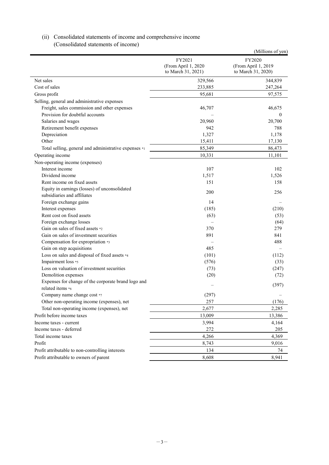#### (ii) Consolidated statements of income and comprehensive income (Consolidated statements of income)

|                                                                         |                                                     | (Millions of yen)                                   |
|-------------------------------------------------------------------------|-----------------------------------------------------|-----------------------------------------------------|
|                                                                         | FY2021<br>(From April 1, 2020<br>to March 31, 2021) | FY2020<br>(From April 1, 2019<br>to March 31, 2020) |
| Net sales                                                               | 329,566                                             | 344,839                                             |
| Cost of sales                                                           | 233,885                                             | 247,264                                             |
| Gross profit                                                            | 95,681                                              | 97,575                                              |
| Selling, general and administrative expenses                            |                                                     |                                                     |
| Freight, sales commission and other expenses                            | 46,707                                              | 46,675                                              |
| Provision for doubtful accounts                                         |                                                     | $\overline{0}$                                      |
| Salaries and wages                                                      | 20,960                                              | 20,700                                              |
| Retirement benefit expenses                                             | 942                                                 | 788                                                 |
| Depreciation                                                            | 1,327                                               | 1,178                                               |
| Other                                                                   | 15,411                                              | 17,130                                              |
| Total selling, general and administrative expenses *1                   | 85,349                                              | 86,473                                              |
| Operating income                                                        | 10,331                                              | 11,101                                              |
| Non-operating income (expenses)                                         |                                                     |                                                     |
| Interest income                                                         | 107                                                 | 102                                                 |
| Dividend income                                                         | 1,517                                               | 1,526                                               |
| Rent income on fixed assets                                             | 151                                                 | 158                                                 |
| Equity in earnings (losses) of unconsolidated                           | 200                                                 | 256                                                 |
| subsidiaries and affiliates                                             |                                                     |                                                     |
| Foreign exchange gains                                                  | 14                                                  |                                                     |
| Interest expenses                                                       | (185)                                               | (210)                                               |
| Rent cost on fixed assets                                               | (63)                                                | (53)                                                |
| Foreign exchange losses                                                 |                                                     | (64)                                                |
| Gain on sales of fixed assets *2                                        | 370                                                 | 279                                                 |
| Gain on sales of investment securities                                  | 891                                                 | 841                                                 |
| Compensation for expropriation *3                                       |                                                     | 488                                                 |
| Gain on step acquisitions                                               | 485                                                 |                                                     |
| Loss on sales and disposal of fixed assets *4                           | (101)                                               | (112)                                               |
| Impairment loss *5                                                      | (576)                                               | (33)                                                |
| Loss on valuation of investment securities                              | (73)                                                | (247)                                               |
| Demolition expenses                                                     | (20)                                                | (72)                                                |
| Expenses for change of the corporate brand logo and<br>related items *6 |                                                     | (397)                                               |
| Company name change cost *7                                             | (297)                                               |                                                     |
| Other non-operating income (expenses), net                              | 257                                                 | (176)                                               |
| Total non-operating income (expenses), net                              | 2,677                                               | 2,285                                               |
| Profit before income taxes                                              | 13,009                                              | 13,386                                              |
| Income taxes - current                                                  | 3,994                                               | 4,164                                               |
| Income taxes - deferred                                                 | 272                                                 | 205                                                 |
|                                                                         |                                                     |                                                     |
| Total income taxes                                                      | 4,266                                               | 4,369                                               |
| Profit                                                                  | 8,743                                               | 9,016                                               |
| Profit attributable to non-controlling interests                        | 134                                                 | 74                                                  |
| Profit attributable to owners of parent                                 | 8,608                                               | 8,941                                               |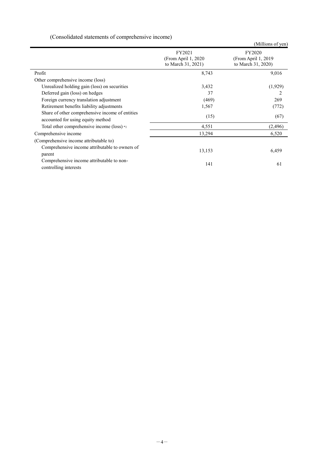### (Consolidated statements of comprehensive income)

|                                                                                      |                                                      | (Millions of yen)                                    |
|--------------------------------------------------------------------------------------|------------------------------------------------------|------------------------------------------------------|
|                                                                                      | FY2021<br>(From April 1, 2020)<br>to March 31, 2021) | FY2020<br>(From April 1, 2019)<br>to March 31, 2020) |
| Profit                                                                               | 8,743                                                | 9,016                                                |
| Other comprehensive income (loss)                                                    |                                                      |                                                      |
| Unrealized holding gain (loss) on securities                                         | 3,432                                                | (1,929)                                              |
| Deferred gain (loss) on hedges                                                       | 37                                                   | 2                                                    |
| Foreign currency translation adjustment                                              | (469)                                                | 269                                                  |
| Retirement benefits liability adjustments                                            | 1,567                                                | (772)                                                |
| Share of other comprehensive income of entities<br>accounted for using equity method | (15)                                                 | (67)                                                 |
| Total other comprehensive income (loss) *1                                           | 4,551                                                | (2, 496)                                             |
| Comprehensive income                                                                 | 13,294                                               | 6,520                                                |
| (Comprehensive income attributable to)                                               |                                                      |                                                      |
| Comprehensive income attributable to owners of<br>parent                             | 13,153                                               | 6,459                                                |
| Comprehensive income attributable to non-<br>controlling interests                   | 141                                                  | 61                                                   |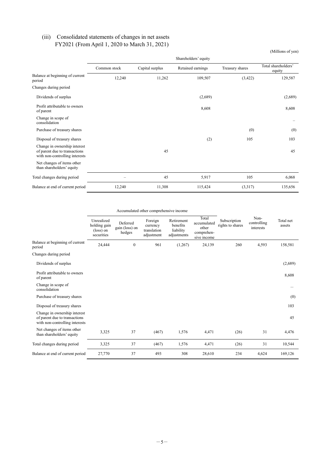#### (iii) Consolidated statements of changes in net assets FY2021 (From April 1, 2020 to March 31, 2021)

|                                                                                                 |              |                 | Shareholders' equity |                 |                               |
|-------------------------------------------------------------------------------------------------|--------------|-----------------|----------------------|-----------------|-------------------------------|
|                                                                                                 | Common stock | Capital surplus | Retained earnings    | Treasury shares | Total shareholders'<br>equity |
| Balance at beginning of current<br>period                                                       | 12,240       | 11,262          | 109,507              | (3,422)         | 129,587                       |
| Changes during period                                                                           |              |                 |                      |                 |                               |
| Dividends of surplus                                                                            |              |                 | (2,689)              |                 | (2,689)                       |
| Profit attributable to owners<br>of parent                                                      |              |                 | 8,608                |                 | 8,608                         |
| Change in scope of<br>consolidation                                                             |              |                 |                      |                 |                               |
| Purchase of treasury shares                                                                     |              |                 |                      | (0)             | (0)                           |
| Disposal of treasury shares                                                                     |              |                 | (2)                  | 105             | 103                           |
| Change in ownership interest<br>of parent due to transactions<br>with non-controlling interests |              | 45              |                      |                 | 45                            |
| Net changes of items other<br>than shareholders' equity                                         |              |                 |                      |                 |                               |
| Total changes during period                                                                     |              | 45              | 5,917                | 105             | 6,068                         |
| Balance at end of current period                                                                | 12,240       | 11,308          | 115,424              | (3,317)         | 135,656                       |

(Millions of yen)

Accumulated other comprehensive income

|                                                                                                 | Unrealized<br>holding gain<br>(loss) on<br>securities | Deferred<br>gain (loss) on<br>hedges | Foreign<br>currency<br>translation<br>adjustment | Retirement<br>benefits<br>liability<br>adjustments | Total<br>accumulated<br>other<br>comprehen-<br>sive income | Subscription<br>rights to shares | Non-<br>controlling<br>interests | Total net<br>assets |
|-------------------------------------------------------------------------------------------------|-------------------------------------------------------|--------------------------------------|--------------------------------------------------|----------------------------------------------------|------------------------------------------------------------|----------------------------------|----------------------------------|---------------------|
| Balance at beginning of current<br>period                                                       | 24,444                                                | $\boldsymbol{0}$                     | 961                                              | (1,267)                                            | 24,139                                                     | 260                              | 4,593                            | 158,581             |
| Changes during period                                                                           |                                                       |                                      |                                                  |                                                    |                                                            |                                  |                                  |                     |
| Dividends of surplus                                                                            |                                                       |                                      |                                                  |                                                    |                                                            |                                  |                                  | (2,689)             |
| Profit attributable to owners<br>of parent                                                      |                                                       |                                      |                                                  |                                                    |                                                            |                                  |                                  | 8,608               |
| Change in scope of<br>consolidation                                                             |                                                       |                                      |                                                  |                                                    |                                                            |                                  |                                  |                     |
| Purchase of treasury shares                                                                     |                                                       |                                      |                                                  |                                                    |                                                            |                                  |                                  | (0)                 |
| Disposal of treasury shares                                                                     |                                                       |                                      |                                                  |                                                    |                                                            |                                  |                                  | 103                 |
| Change in ownership interest<br>of parent due to transactions<br>with non-controlling interests |                                                       |                                      |                                                  |                                                    |                                                            |                                  |                                  | 45                  |
| Net changes of items other<br>than shareholders' equity                                         | 3,325                                                 | 37                                   | (467)                                            | 1,576                                              | 4,471                                                      | (26)                             | 31                               | 4,476               |
| Total changes during period                                                                     | 3,325                                                 | 37                                   | (467)                                            | 1,576                                              | 4,471                                                      | (26)                             | 31                               | 10,544              |
| Balance at end of current period                                                                | 27,770                                                | 37                                   | 493                                              | 308                                                | 28,610                                                     | 234                              | 4,624                            | 169,126             |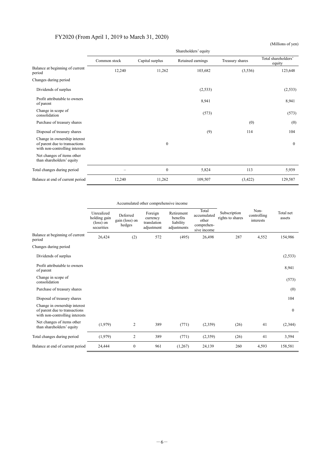#### FY2020 (From April 1, 2019 to March 31, 2020)

Shareholders' equity Common stock Capital surplus Retained earnings Treasury shares Total shareholders' equity Balance at beginning of current  $P_{\text{period}}$  (3,536) 123,648 12,240 11,262 103,682 (3,536) 123,648 Changes during period Dividends of surplus (2,533) (2,533) (2,533) (2,533) Profit attributable to owners of parent 8,941 8,941 Change in scope of (573) (573) (573) Purchase of treasury shares (0) (0) (0) Disposal of treasury shares (9) 114 104 Change in ownership interest of parent due to transactions with non-controlling interests  $\sim$  0 Net changes of items other than shareholders' equity Total changes during period – 113 5,939 Balance at end of current period 12,240 11,262 109,507 (3,422) 129,587

Accumulated other comprehensive income

|                                                                                                 | Unrealized<br>holding gain<br>$(\text{loss})$ on<br>securities | Deferred<br>gain (loss) on<br>hedges | Foreign<br>currency<br>translation<br>adjustment | Retirement<br>benefits<br>liability<br>adjustments | Total<br>accumulated<br>other<br>comprehen-<br>sive income | Subscription<br>rights to shares | Non-<br>controlling<br>interests | Total net<br>assets |
|-------------------------------------------------------------------------------------------------|----------------------------------------------------------------|--------------------------------------|--------------------------------------------------|----------------------------------------------------|------------------------------------------------------------|----------------------------------|----------------------------------|---------------------|
| Balance at beginning of current<br>period                                                       | 26,424                                                         | (2)                                  | 572                                              | (495)                                              | 26,498                                                     | 287                              | 4,552                            | 154,986             |
| Changes during period                                                                           |                                                                |                                      |                                                  |                                                    |                                                            |                                  |                                  |                     |
| Dividends of surplus                                                                            |                                                                |                                      |                                                  |                                                    |                                                            |                                  |                                  | (2, 533)            |
| Profit attributable to owners<br>of parent                                                      |                                                                |                                      |                                                  |                                                    |                                                            |                                  |                                  | 8,941               |
| Change in scope of<br>consolidation                                                             |                                                                |                                      |                                                  |                                                    |                                                            |                                  |                                  | (573)               |
| Purchase of treasury shares                                                                     |                                                                |                                      |                                                  |                                                    |                                                            |                                  |                                  | (0)                 |
| Disposal of treasury shares                                                                     |                                                                |                                      |                                                  |                                                    |                                                            |                                  |                                  | 104                 |
| Change in ownership interest<br>of parent due to transactions<br>with non-controlling interests |                                                                |                                      |                                                  |                                                    |                                                            |                                  |                                  | $\mathbf{0}$        |
| Net changes of items other<br>than shareholders' equity                                         | (1,979)                                                        | 2                                    | 389                                              | (771)                                              | (2,359)                                                    | (26)                             | 41                               | (2,344)             |
| Total changes during period                                                                     | (1,979)                                                        | $\overline{c}$                       | 389                                              | (771)                                              | (2,359)                                                    | (26)                             | 41                               | 3,594               |
| Balance at end of current period                                                                | 24,444                                                         | $\mathbf{0}$                         | 961                                              | (1,267)                                            | 24,139                                                     | 260                              | 4,593                            | 158,581             |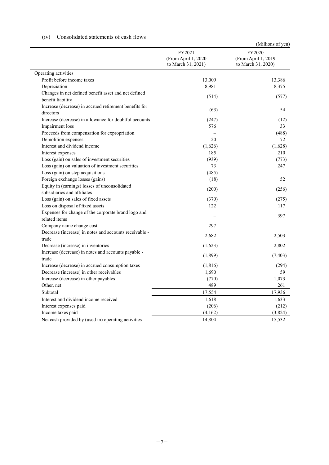|                                                                              | FY2021<br>(From April 1, 2020<br>to March 31, 2021) | (Millions of yen)<br>FY2020<br>(From April 1, 2019<br>to March 31, 2020) |
|------------------------------------------------------------------------------|-----------------------------------------------------|--------------------------------------------------------------------------|
| Operating activities                                                         |                                                     |                                                                          |
| Profit before income taxes                                                   | 13,009                                              | 13,386                                                                   |
| Depreciation                                                                 | 8,981                                               | 8,375                                                                    |
| Changes in net defined benefit asset and net defined<br>benefit liability    | (514)                                               | (577)                                                                    |
| Increase (decrease) in accrued retirement benefits for<br>directors          | (63)                                                | 54                                                                       |
| Increase (decrease) in allowance for doubtful accounts                       | (247)                                               | (12)                                                                     |
| Impairment loss                                                              | 576                                                 | 33                                                                       |
| Proceeds from compensation for expropriation                                 |                                                     | (488)                                                                    |
| Demolition expenses                                                          | 20                                                  | 72                                                                       |
| Interest and dividend income                                                 | (1,626)                                             | (1,628)                                                                  |
| Interest expenses                                                            | 185                                                 | 210                                                                      |
| Loss (gain) on sales of investment securities                                | (939)                                               | (773)                                                                    |
| Loss (gain) on valuation of investment securities                            | 73                                                  | 247                                                                      |
| Loss (gain) on step acquisitions                                             | (485)                                               |                                                                          |
| Foreign exchange losses (gains)                                              | (18)                                                | 52                                                                       |
| Equity in (earnings) losses of unconsolidated<br>subsidiaries and affiliates | (200)                                               | (256)                                                                    |
| Loss (gain) on sales of fixed assets                                         | (370)                                               | (275)                                                                    |
| Loss on disposal of fixed assets                                             | 122                                                 | 117                                                                      |
| Expenses for change of the corporate brand logo and<br>related items         |                                                     | 397                                                                      |
| Company name change cost                                                     | 297                                                 |                                                                          |
| Decrease (increase) in notes and accounts receivable -<br>trade              | 2,682                                               | 2,503                                                                    |
| Decrease (increase) in inventories                                           | (1,623)                                             | 2,802                                                                    |
| Increase (decrease) in notes and accounts payable -<br>trade                 | (1,899)                                             | (7, 403)                                                                 |
| Increase (decrease) in accrued consumption taxes                             | (1,816)                                             | (294)                                                                    |
| Decrease (increase) in other receivables                                     | 1,690                                               | 59                                                                       |
| Increase (decrease) in other payables                                        | (770)                                               | 1,073                                                                    |
| Other, net                                                                   | 489                                                 | 261                                                                      |
| Subtotal                                                                     | 17,554                                              | 17,936                                                                   |
| Interest and dividend income received                                        | 1,618                                               | 1,633                                                                    |
| Interest expenses paid                                                       | (206)                                               | (212)                                                                    |
| Income taxes paid                                                            | (4,162)                                             | (3,824)                                                                  |
| Net cash provided by (used in) operating activities                          | 14,804                                              | 15,532                                                                   |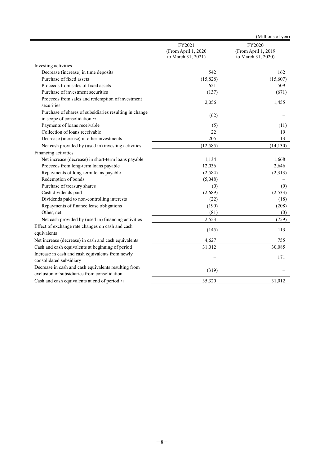|                                                                                                      |                                                     | (Millions of yen)                                   |
|------------------------------------------------------------------------------------------------------|-----------------------------------------------------|-----------------------------------------------------|
|                                                                                                      | FY2021<br>(From April 1, 2020<br>to March 31, 2021) | FY2020<br>(From April 1, 2019<br>to March 31, 2020) |
| Investing activities                                                                                 |                                                     |                                                     |
| Decrease (increase) in time deposits                                                                 | 542                                                 | 162                                                 |
| Purchase of fixed assets                                                                             | (15,828)                                            | (15,607)                                            |
| Proceeds from sales of fixed assets                                                                  | 621                                                 | 509                                                 |
| Purchase of investment securities                                                                    | (137)                                               | (671)                                               |
| Proceeds from sales and redemption of investment<br>securities                                       | 2,056                                               | 1,455                                               |
| Purchase of shares of subsidiaries resulting in change<br>in scope of consolidation *2               | (62)                                                |                                                     |
| Payments of loans receivable                                                                         | (5)                                                 | (11)                                                |
| Collection of loans receivable                                                                       | 22                                                  | 19                                                  |
| Decrease (increase) in other investments                                                             | 205                                                 | 13                                                  |
| Net cash provided by (used in) investing activities                                                  | (12, 585)                                           | (14, 130)                                           |
| Financing activities                                                                                 |                                                     |                                                     |
| Net increase (decrease) in short-term loans payable                                                  | 1,134                                               | 1,668                                               |
| Proceeds from long-term loans payable                                                                | 12,036                                              | 2,646                                               |
| Repayments of long-term loans payable                                                                | (2, 584)                                            | (2,313)                                             |
| Redemption of bonds                                                                                  | (5,048)                                             |                                                     |
| Purchase of treasury shares                                                                          | (0)                                                 | (0)                                                 |
| Cash dividends paid                                                                                  | (2,689)                                             | (2,533)                                             |
| Dividends paid to non-controlling interests                                                          | (22)                                                | (18)                                                |
| Repayments of finance lease obligations                                                              | (190)                                               | (208)                                               |
| Other, net                                                                                           | (81)                                                | (0)                                                 |
| Net cash provided by (used in) financing activities                                                  | 2,553                                               | (759)                                               |
| Effect of exchange rate changes on cash and cash<br>equivalents                                      | (145)                                               | 113                                                 |
| Net increase (decrease) in cash and cash equivalents                                                 | 4,627                                               | 755                                                 |
| Cash and cash equivalents at beginning of period                                                     | 31,012                                              | 30,085                                              |
| Increase in cash and cash equivalents from newly<br>consolidated subsidiary                          |                                                     | 171                                                 |
| Decrease in cash and cash equivalents resulting from<br>exclusion of subsidiaries from consolidation | (319)                                               |                                                     |
| Cash and cash equivalents at end of period *1                                                        | 35,320                                              | 31,012                                              |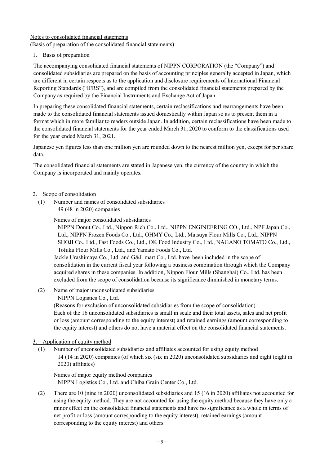## Notes to consolidated financial statements

(Basis of preparation of the consolidated financial statements)

#### 1. Basis of preparation

The accompanying consolidated financial statements of NIPPN CORPORATION (the "Company") and consolidated subsidiaries are prepared on the basis of accounting principles generally accepted in Japan, which are different in certain respects as to the application and disclosure requirements of International Financial Reporting Standards ("IFRS"), and are compiled from the consolidated financial statements prepared by the Company as required by the Financial Instruments and Exchange Act of Japan.

In preparing these consolidated financial statements, certain reclassifications and rearrangements have been made to the consolidated financial statements issued domestically within Japan so as to present them in a format which in more familiar to readers outside Japan. In addition, certain reclassifications have been made to the consolidated financial statements for the year ended March 31, 2020 to conform to the classifications used for the year ended March 31, 2021.

Japanese yen figures less than one million yen are rounded down to the nearest million yen, except for per share data.

The consolidated financial statements are stated in Japanese yen, the currency of the country in which the Company is incorporated and mainly operates.

#### 2. Scope of consolidation

(1) Number and names of consolidated subsidiaries 49 (48 in 2020) companies

Names of major consolidated subsidiaries

NIPPN Donut Co., Ltd., Nippon Rich Co., Ltd., NIPPN ENGINEERING CO., Ltd., NPF Japan Co., Ltd., NIPPN Frozen Foods Co., Ltd., OHMY Co., Ltd., Matsuya Flour Mills Co., Ltd., NIPPN SHOJI Co., Ltd., Fast Foods Co., Ltd., OK Food Industry Co., Ltd., NAGANO TOMATO Co., Ltd., Tofuku Flour Mills Co., Ltd., and Yamato Foods Co., Ltd.

Jackle Urashimaya Co., Ltd. and G&L mart Co., Ltd. have been included in the scope of consolidation in the current fiscal year following a business combination through which the Company acquired shares in these companies. In addition, Nippon Flour Mills (Shanghai) Co., Ltd. has been excluded from the scope of consolidation because its significance diminished in monetary terms.

(2) Name of major unconsolidated subsidiaries

NIPPN Logistics Co., Ltd.

(Reasons for exclusion of unconsolidated subsidiaries from the scope of consolidation) Each of the 16 unconsolidated subsidiaries is small in scale and their total assets, sales and net profit or loss (amount corresponding to the equity interest) and retained earnings (amount corresponding to the equity interest) and others do not have a material effect on the consolidated financial statements.

#### 3. Application of equity method

(1) Number of unconsolidated subsidiaries and affiliates accounted for using equity method 14 (14 in 2020) companies (of which six (six in 2020) unconsolidated subsidiaries and eight (eight in 2020) affiliates)

Names of major equity method companies NIPPN Logistics Co., Ltd. and Chiba Grain Center Co., Ltd.

(2) There are 10 (nine in 2020) unconsolidated subsidiaries and 15 (16 in 2020) affiliates not accounted for using the equity method. They are not accounted for using the equity method because they have only a minor effect on the consolidated financial statements and have no significance as a whole in terms of net profit or loss (amount corresponding to the equity interest), retained earnings (amount corresponding to the equity interest) and others.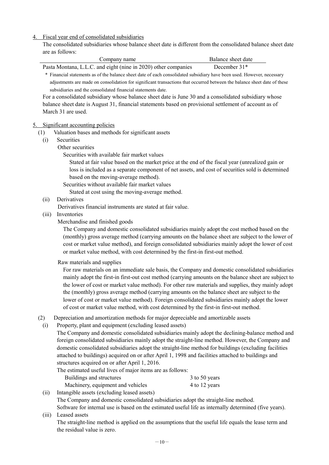#### 4. Fiscal year end of consolidated subsidiaries

The consolidated subsidiaries whose balance sheet date is different from the consolidated balance sheet date are as follows:

| are as follows: |                                                                                                                                                                                                                                                                                                                                                                                                                                                                                                                                                                                                                                                                                                                                                       |                                                                                                                                                                                                                                                                                                                 |
|-----------------|-------------------------------------------------------------------------------------------------------------------------------------------------------------------------------------------------------------------------------------------------------------------------------------------------------------------------------------------------------------------------------------------------------------------------------------------------------------------------------------------------------------------------------------------------------------------------------------------------------------------------------------------------------------------------------------------------------------------------------------------------------|-----------------------------------------------------------------------------------------------------------------------------------------------------------------------------------------------------------------------------------------------------------------------------------------------------------------|
|                 | Company name                                                                                                                                                                                                                                                                                                                                                                                                                                                                                                                                                                                                                                                                                                                                          | Balance sheet date                                                                                                                                                                                                                                                                                              |
|                 | Pasta Montana, L.L.C. and eight (nine in 2020) other companies                                                                                                                                                                                                                                                                                                                                                                                                                                                                                                                                                                                                                                                                                        | December 31*                                                                                                                                                                                                                                                                                                    |
|                 | * Financial statements as of the balance sheet date of each consolidated subsidiary have been used. However, necessary<br>adjustments are made on consolidation for significant transactions that occurred between the balance sheet date of these<br>subsidiaries and the consolidated financial statements date.<br>For a consolidated subsidiary whose balance sheet date is June 30 and a consolidated subsidiary whose<br>balance sheet date is August 31, financial statements based on provisional settlement of account as of                                                                                                                                                                                                                 |                                                                                                                                                                                                                                                                                                                 |
|                 | March 31 are used.                                                                                                                                                                                                                                                                                                                                                                                                                                                                                                                                                                                                                                                                                                                                    |                                                                                                                                                                                                                                                                                                                 |
| 5.              | Significant accounting policies                                                                                                                                                                                                                                                                                                                                                                                                                                                                                                                                                                                                                                                                                                                       |                                                                                                                                                                                                                                                                                                                 |
| (1)<br>(i)      | Valuation bases and methods for significant assets<br>Securities<br>Other securities<br>Securities with available fair market values                                                                                                                                                                                                                                                                                                                                                                                                                                                                                                                                                                                                                  | Stated at fair value based on the market price at the end of the fiscal year (unrealized gain or<br>loss is included as a separate component of net assets, and cost of securities sold is determined                                                                                                           |
|                 | based on the moving-average method).<br>Securities without available fair market values<br>Stated at cost using the moving-average method.                                                                                                                                                                                                                                                                                                                                                                                                                                                                                                                                                                                                            |                                                                                                                                                                                                                                                                                                                 |
| (ii)            | Derivatives<br>Derivatives financial instruments are stated at fair value.                                                                                                                                                                                                                                                                                                                                                                                                                                                                                                                                                                                                                                                                            |                                                                                                                                                                                                                                                                                                                 |
| (iii)           | Inventories<br>Merchandise and finished goods<br>The Company and domestic consolidated subsidiaries mainly adopt the cost method based on the<br>or market value method, with cost determined by the first-in first-out method.                                                                                                                                                                                                                                                                                                                                                                                                                                                                                                                       | (monthly) gross average method (carrying amounts on the balance sheet are subject to the lower of<br>cost or market value method), and foreign consolidated subsidiaries mainly adopt the lower of cost                                                                                                         |
|                 | Raw materials and supplies<br>the (monthly) gross average method (carrying amounts on the balance sheet are subject to the<br>lower of cost or market value method). Foreign consolidated subsidiaries mainly adopt the lower<br>of cost or market value method, with cost determined by the first-in first-out method.                                                                                                                                                                                                                                                                                                                                                                                                                               | For raw materials on an immediate sale basis, the Company and domestic consolidated subsidiaries<br>mainly adopt the first-in first-out cost method (carrying amounts on the balance sheet are subject to<br>the lower of cost or market value method). For other raw materials and supplies, they mainly adopt |
| (2)<br>(i)      | Depreciation and amortization methods for major depreciable and amortizable assets<br>Property, plant and equipment (excluding leased assets)<br>The Company and domestic consolidated subsidiaries mainly adopt the declining-balance method and<br>foreign consolidated subsidiaries mainly adopt the straight-line method. However, the Company and<br>domestic consolidated subsidiaries adopt the straight-line method for buildings (excluding facilities<br>attached to buildings) acquired on or after April 1, 1998 and facilities attached to buildings and<br>structures acquired on or after April 1, 2016.<br>The estimated useful lives of major items are as follows:<br>Buildings and structures<br>Machinery, equipment and vehicles | 3 to 50 years<br>4 to 12 years                                                                                                                                                                                                                                                                                  |

- (ii) Intangible assets (excluding leased assets) The Company and domestic consolidated subsidiaries adopt the straight-line method. Software for internal use is based on the estimated useful life as internally determined (five years).
- (iii) Leased assets

The straight-line method is applied on the assumptions that the useful life equals the lease term and the residual value is zero.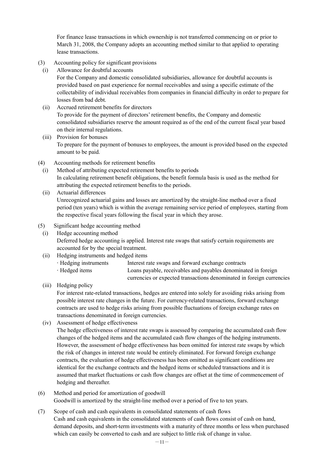For finance lease transactions in which ownership is not transferred commencing on or prior to March 31, 2008, the Company adopts an accounting method similar to that applied to operating lease transactions.

- (3) Accounting policy for significant provisions
- (i) Allowance for doubtful accounts

For the Company and domestic consolidated subsidiaries, allowance for doubtful accounts is provided based on past experience for normal receivables and using a specific estimate of the collectability of individual receivables from companies in financial difficulty in order to prepare for losses from bad debt.

- (ii) Accrued retirement benefits for directors To provide for the payment of directors' retirement benefits, the Company and domestic consolidated subsidiaries reserve the amount required as of the end of the current fiscal year based on their internal regulations.
- (iii) Provision for bonuses To prepare for the payment of bonuses to employees, the amount is provided based on the expected amount to be paid.
- (4) Accounting methods for retirement benefits
	- (i) Method of attributing expected retirement benefits to periods In calculating retirement benefit obligations, the benefit formula basis is used as the method for attributing the expected retirement benefits to the periods.
	- (ii) Actuarial differences Unrecognized actuarial gains and losses are amortized by the straight-line method over a fixed period (ten years) which is within the average remaining service period of employees, starting from the respective fiscal years following the fiscal year in which they arose.
- (5) Significant hedge accounting method
	- (i) Hedge accounting method Deferred hedge accounting is applied. Interest rate swaps that satisfy certain requirements are accounted for by the special treatment.
	- (ii) Hedging instruments and hedged items
		- · Hedging instruments Interest rate swaps and forward exchange contracts · Hedged items Loans payable, receivables and payables denominated in foreign currencies or expected transactions denominated in foreign currencies
	- (iii) Hedging policy

For interest rate-related transactions, hedges are entered into solely for avoiding risks arising from possible interest rate changes in the future. For currency-related transactions, forward exchange contracts are used to hedge risks arising from possible fluctuations of foreign exchange rates on transactions denominated in foreign currencies.

(iv) Assessment of hedge effectiveness

The hedge effectiveness of interest rate swaps is assessed by comparing the accumulated cash flow changes of the hedged items and the accumulated cash flow changes of the hedging instruments. However, the assessment of hedge effectiveness has been omitted for interest rate swaps by which the risk of changes in interest rate would be entirely eliminated. For forward foreign exchange contracts, the evaluation of hedge effectiveness has been omitted as significant conditions are identical for the exchange contracts and the hedged items or scheduled transactions and it is assumed that market fluctuations or cash flow changes are offset at the time of commencement of hedging and thereafter.

- (6) Method and period for amortization of goodwill Goodwill is amortized by the straight-line method over a period of five to ten years.
- (7) Scope of cash and cash equivalents in consolidated statements of cash flows Cash and cash equivalents in the consolidated statements of cash flows consist of cash on hand, demand deposits, and short-term investments with a maturity of three months or less when purchased which can easily be converted to cash and are subject to little risk of change in value.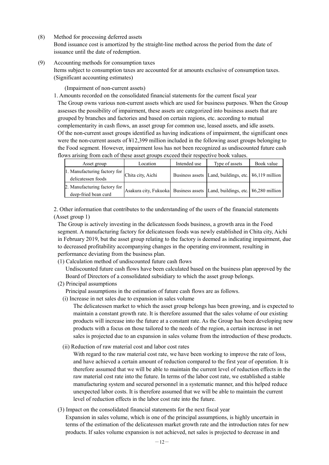(8) Method for processing deferred assets

Bond issuance cost is amortized by the straight-line method across the period from the date of issuance until the date of redemption.

(9) Accounting methods for consumption taxes

Items subject to consumption taxes are accounted for at amounts exclusive of consumption taxes. (Significant accounting estimates)

(Impairment of non-current assets)

1. Amounts recorded on the consolidated financial statements for the current fiscal year The Group owns various non-current assets which are used for business purposes. When the Group assesses the possibility of impairment, these assets are categorized into business assets that are grouped by branches and factories and based on certain regions, etc. according to mutual complementarity in cash flows, an asset group for common use, leased assets, and idle assets. Of the non-current asset groups identified as having indications of impairment, the significant ones were the non-current assets of ¥12,399 million included in the following asset groups belonging to the Food segment. However, impairment loss has not been recognized as undiscounted future cash flows arising from each of these asset groups exceed their respective book values.

| Asset group                                          | Location                                                                             | Intended use | Type of assets                                               | Book value |
|------------------------------------------------------|--------------------------------------------------------------------------------------|--------------|--------------------------------------------------------------|------------|
| 1. Manufacturing factory for<br>delicatessen foods   | Chita city, Aichi                                                                    |              | Business assets Land, buildings, etc. \[ \ff\{6,119} million |            |
| 2. Manufacturing factory for<br>deep-fried bean curd | Asakura city, Fukuoka Business assets Land, buildings, etc. \\ \ \ \ \ 6,280 million |              |                                                              |            |

2. Other information that contributes to the understanding of the users of the financial statements (Asset group 1)

The Group is actively investing in the delicatessen foods business, a growth area in the Food segment. A manufacturing factory for delicatessen foods was newly established in Chita city, Aichi in February 2019, but the asset group relating to the factory is deemed as indicating impairment, due to decreased profitability accompanying changes in the operating environment, resulting in performance deviating from the business plan.

(1) Calculation method of undiscounted future cash flows

Undiscounted future cash flows have been calculated based on the business plan approved by the Board of Directors of a consolidated subsidiary to which the asset group belongs.

(2) Principal assumptions

Principal assumptions in the estimation of future cash flows are as follows.

(i) Increase in net sales due to expansion in sales volume

The delicatessen market to which the asset group belongs has been growing, and is expected to maintain a constant growth rate. It is therefore assumed that the sales volume of our existing products will increase into the future at a constant rate. As the Group has been developing new products with a focus on those tailored to the needs of the region, a certain increase in net sales is projected due to an expansion in sales volume from the introduction of these products.

(ii) Reduction of raw material cost and labor cost rates

With regard to the raw material cost rate, we have been working to improve the rate of loss, and have achieved a certain amount of reduction compared to the first year of operation. It is therefore assumed that we will be able to maintain the current level of reduction effects in the raw material cost rate into the future. In terms of the labor cost rate, we established a stable manufacturing system and secured personnel in a systematic manner, and this helped reduce unexpected labor costs. It is therefore assumed that we will be able to maintain the current level of reduction effects in the labor cost rate into the future.

(3) Impact on the consolidated financial statements for the next fiscal year

Expansion in sales volume, which is one of the principal assumptions, is highly uncertain in terms of the estimation of the delicatessen market growth rate and the introduction rates for new products. If sales volume expansion is not achieved, net sales is projected to decrease in and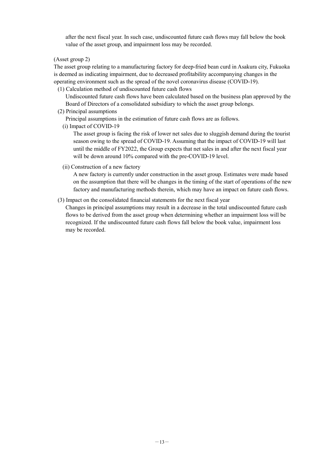after the next fiscal year. In such case, undiscounted future cash flows may fall below the book value of the asset group, and impairment loss may be recorded.

(Asset group 2)

The asset group relating to a manufacturing factory for deep-fried bean curd in Asakura city, Fukuoka is deemed as indicating impairment, due to decreased profitability accompanying changes in the operating environment such as the spread of the novel coronavirus disease (COVID-19).

(1) Calculation method of undiscounted future cash flows

Undiscounted future cash flows have been calculated based on the business plan approved by the Board of Directors of a consolidated subsidiary to which the asset group belongs.

(2) Principal assumptions

Principal assumptions in the estimation of future cash flows are as follows.

(i) Impact of COVID-19

The asset group is facing the risk of lower net sales due to sluggish demand during the tourist season owing to the spread of COVID-19. Assuming that the impact of COVID-19 will last until the middle of FY2022, the Group expects that net sales in and after the next fiscal year will be down around 10% compared with the pre-COVID-19 level.

(ii) Construction of a new factory

A new factory is currently under construction in the asset group. Estimates were made based on the assumption that there will be changes in the timing of the start of operations of the new factory and manufacturing methods therein, which may have an impact on future cash flows.

(3) Impact on the consolidated financial statements for the next fiscal year

Changes in principal assumptions may result in a decrease in the total undiscounted future cash flows to be derived from the asset group when determining whether an impairment loss will be recognized. If the undiscounted future cash flows fall below the book value, impairment loss may be recorded.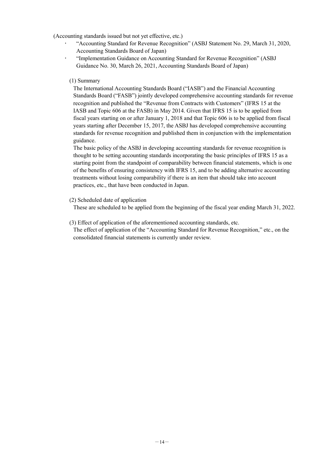(Accounting standards issued but not yet effective, etc.)

- "Accounting Standard for Revenue Recognition" (ASBJ Statement No. 29, March 31, 2020, Accounting Standards Board of Japan)
- "Implementation Guidance on Accounting Standard for Revenue Recognition" (ASBJ Guidance No. 30, March 26, 2021, Accounting Standards Board of Japan)

#### (1) Summary

The International Accounting Standards Board ("IASB") and the Financial Accounting Standards Board ("FASB") jointly developed comprehensive accounting standards for revenue recognition and published the "Revenue from Contracts with Customers" (IFRS 15 at the IASB and Topic 606 at the FASB) in May 2014. Given that IFRS 15 is to be applied from fiscal years starting on or after January 1, 2018 and that Topic 606 is to be applied from fiscal years starting after December 15, 2017, the ASBJ has developed comprehensive accounting standards for revenue recognition and published them in conjunction with the implementation guidance.

The basic policy of the ASBJ in developing accounting standards for revenue recognition is thought to be setting accounting standards incorporating the basic principles of IFRS 15 as a starting point from the standpoint of comparability between financial statements, which is one of the benefits of ensuring consistency with IFRS 15, and to be adding alternative accounting treatments without losing comparability if there is an item that should take into account practices, etc., that have been conducted in Japan.

#### (2) Scheduled date of application

These are scheduled to be applied from the beginning of the fiscal year ending March 31, 2022.

(3) Effect of application of the aforementioned accounting standards, etc.

The effect of application of the "Accounting Standard for Revenue Recognition," etc., on the consolidated financial statements is currently under review.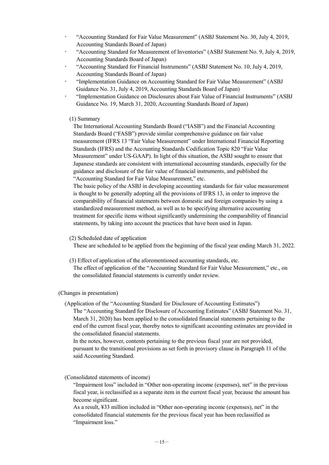- "Accounting Standard for Fair Value Measurement" (ASBJ Statement No. 30, July 4, 2019, Accounting Standards Board of Japan)
- "Accounting Standard for Measurement of Inventories" (ASBJ Statement No. 9, July 4, 2019, Accounting Standards Board of Japan)
- "Accounting Standard for Financial Instruments" (ASBJ Statement No. 10, July 4, 2019, Accounting Standards Board of Japan)
- "Implementation Guidance on Accounting Standard for Fair Value Measurement" (ASBJ Guidance No. 31, July 4, 2019, Accounting Standards Board of Japan)
- "Implementation Guidance on Disclosures about Fair Value of Financial Instruments" (ASBJ Guidance No. 19, March 31, 2020, Accounting Standards Board of Japan)

#### (1) Summary

The International Accounting Standards Board ("IASB") and the Financial Accounting Standards Board ("FASB") provide similar comprehensive guidance on fair value measurement (IFRS 13 "Fair Value Measurement" under International Financial Reporting Standards (IFRS) and the Accounting Standards Codification Topic 820 "Fair Value Measurement" under US-GAAP). In light of this situation, the ASBJ sought to ensure that Japanese standards are consistent with international accounting standards, especially for the guidance and disclosure of the fair value of financial instruments, and published the "Accounting Standard for Fair Value Measurement," etc.

The basic policy of the ASBJ in developing accounting standards for fair value measurement is thought to be generally adopting all the provisions of IFRS 13, in order to improve the comparability of financial statements between domestic and foreign companies by using a standardized measurement method, as well as to be specifying alternative accounting treatment for specific items without significantly undermining the comparability of financial statements, by taking into account the practices that have been used in Japan.

#### (2) Scheduled date of application

These are scheduled to be applied from the beginning of the fiscal year ending March 31, 2022.

- (3) Effect of application of the aforementioned accounting standards, etc.
- The effect of application of the "Accounting Standard for Fair Value Measurement," etc., on the consolidated financial statements is currently under review.

#### (Changes in presentation)

(Application of the "Accounting Standard for Disclosure of Accounting Estimates")

The "Accounting Standard for Disclosure of Accounting Estimates" (ASBJ Statement No. 31, March 31, 2020) has been applied to the consolidated financial statements pertaining to the end of the current fiscal year, thereby notes to significant accounting estimates are provided in the consolidated financial statements.

In the notes, however, contents pertaining to the previous fiscal year are not provided, pursuant to the transitional provisions as set forth in provisory clause in Paragraph 11 of the said Accounting Standard.

#### (Consolidated statements of income)

"Impairment loss" included in "Other non-operating income (expenses), net" in the previous fiscal year, is reclassified as a separate item in the current fiscal year, because the amount has become significant.

As a result, ¥33 million included in "Other non-operating income (expenses), net" in the consolidated financial statements for the previous fiscal year has been reclassified as "Impairment loss."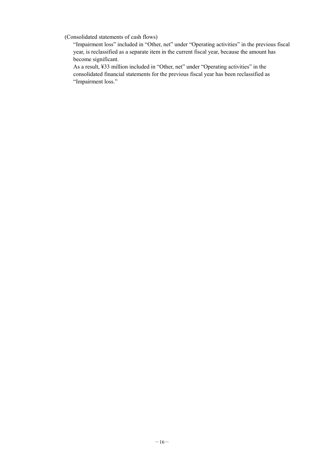(Consolidated statements of cash flows)

"Impairment loss" included in "Other, net" under "Operating activities" in the previous fiscal year, is reclassified as a separate item in the current fiscal year, because the amount has become significant.

As a result, ¥33 million included in "Other, net" under "Operating activities" in the consolidated financial statements for the previous fiscal year has been reclassified as "Impairment loss."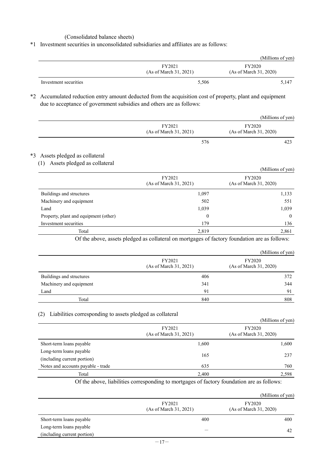#### (Consolidated balance sheets)

\*1 Investment securities in unconsolidated subsidiaries and affiliates are as follows:

|                       |                                  | (Millions of yen)                       |
|-----------------------|----------------------------------|-----------------------------------------|
|                       | FY2021<br>(As of March 31, 2021) | <b>FY2020</b><br>(As of March 31, 2020) |
| Investment securities | 5,506                            | 5,147                                   |

\*2 Accumulated reduction entry amount deducted from the acquisition cost of property, plant and equipment due to acceptance of government subsidies and others are as follows:

|                                  | (Millions of yen)                |
|----------------------------------|----------------------------------|
| FY2021<br>(As of March 31, 2021) | FY2020<br>(As of March 31, 2020) |
| 576                              | 423                              |

#### \*3 Assets pledged as collateral

(1) Assets pledged as collateral

| $(1)$ there is promoted the context of |                                  | (Millions of yen)                       |
|----------------------------------------|----------------------------------|-----------------------------------------|
|                                        | FY2021<br>(As of March 31, 2021) | <b>FY2020</b><br>(As of March 31, 2020) |
| Buildings and structures               | 1,097                            | 1,133                                   |
| Machinery and equipment                | 502                              | 551                                     |
| Land                                   | 1,039                            | 1,039                                   |
| Property, plant and equipment (other)  | $\boldsymbol{0}$                 | $\overline{0}$                          |
| Investment securities                  | 179                              | 136                                     |
| Total                                  | 2,819                            | 2,861                                   |

Of the above, assets pledged as collateral on mortgages of factory foundation are as follows:

|                          |                                  | (Millions of yen)                       |
|--------------------------|----------------------------------|-----------------------------------------|
|                          | FY2021<br>(As of March 31, 2021) | <b>FY2020</b><br>(As of March 31, 2020) |
| Buildings and structures | 406                              | 372                                     |
| Machinery and equipment  | 341                              | 344                                     |
| Land                     | 91                               | 91                                      |
| Total                    | 840                              | 808                                     |

#### (2) Liabilities corresponding to assets pledged as collateral

| $\sim$<br>Liabilities corresponding to assets picaged as conateral |                                  | (Millions of yen)                       |
|--------------------------------------------------------------------|----------------------------------|-----------------------------------------|
|                                                                    | FY2021<br>(As of March 31, 2021) | <b>FY2020</b><br>(As of March 31, 2020) |
| Short-term loans payable                                           | 1,600                            | 1,600                                   |
| Long-term loans payable                                            |                                  |                                         |
| (including current portion)                                        | 165                              | 237                                     |
| Notes and accounts payable - trade                                 | 635                              | 760                                     |
| Total                                                              | 2,400                            | 2,598                                   |

Of the above, liabilities corresponding to mortgages of factory foundation are as follows:

|                             |                                  | (Millions of yen)                       |
|-----------------------------|----------------------------------|-----------------------------------------|
|                             | FY2021<br>(As of March 31, 2021) | <b>FY2020</b><br>(As of March 31, 2020) |
| Short-term loans payable    | 400                              | 400                                     |
| Long-term loans payable     |                                  | 42                                      |
| (including current portion) |                                  |                                         |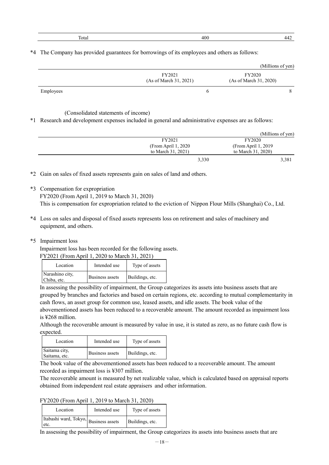| 'La | 100 | . . |
|-----|-----|-----|
|     |     |     |

\*4 The Company has provided guarantees for borrowings of its employees and others as follows:

|           |                                  | (Millions of yen)                |
|-----------|----------------------------------|----------------------------------|
|           | FY2021<br>(As of March 31, 2021) | FY2020<br>(As of March 31, 2020) |
| Employees | h                                |                                  |

(Consolidated statements of income)

\*1 Research and development expenses included in general and administrative expenses are as follows:

|                      | (Millions of yen)    |
|----------------------|----------------------|
| FY2021               | FY2020               |
| (From April 1, 2020) | (From April 1, 2019) |
| to March 31, 2021)   | to March 31, 2020)   |
|                      | 3,330<br>3,381       |

\*2 Gain on sales of fixed assets represents gain on sales of land and others.

\*3 Compensation for expropriation

FY2020 (From April 1, 2019 to March 31, 2020) This is compensation for expropriation related to the eviction of Nippon Flour Mills (Shanghai) Co., Ltd.

- \*4 Loss on sales and disposal of fixed assets represents loss on retirement and sales of machinery and equipment, and others.
- \*5 Impairment loss

Impairment loss has been recorded for the following assets.

| FY2021 (From April 1, 2020 to March 31, 2021) |  |  |
|-----------------------------------------------|--|--|
|                                               |  |  |

| Location                       | Intended use           | Type of assets  |
|--------------------------------|------------------------|-----------------|
| Narashino city,<br>Chiba, etc. | <b>Business assets</b> | Buildings, etc. |

In assessing the possibility of impairment, the Group categorizes its assets into business assets that are grouped by branches and factories and based on certain regions, etc. according to mutual complementarity in cash flows, an asset group for common use, leased assets, and idle assets. The book value of the abovementioned assets has been reduced to a recoverable amount. The amount recorded as impairment loss is ¥268 million.

Although the recoverable amount is measured by value in use, it is stated as zero, as no future cash flow is expected.

| Location                       | Intended use    | Type of assets  |
|--------------------------------|-----------------|-----------------|
| Saitama city,<br>Saitama, etc. | Business assets | Buildings, etc. |

The book value of the abovementioned assets has been reduced to a recoverable amount. The amount recorded as impairment loss is ¥307 million.

The recoverable amount is measured by net realizable value, which is calculated based on appraisal reports obtained from independent real estate appraisers and other information.

FY2020 (From April 1, 2019 to March 31, 2020)

| Location                                      | Intended use | Type of assets  |
|-----------------------------------------------|--------------|-----------------|
| Itabashi ward, Tokyo, Business assets<br>etc. |              | Buildings, etc. |

In assessing the possibility of impairment, the Group categorizes its assets into business assets that are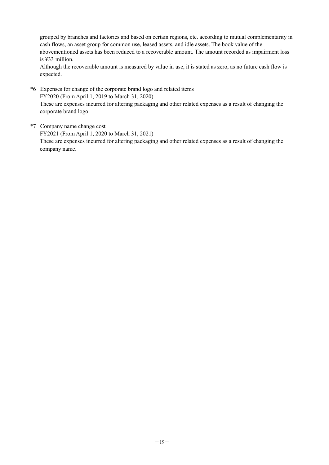grouped by branches and factories and based on certain regions, etc. according to mutual complementarity in cash flows, an asset group for common use, leased assets, and idle assets. The book value of the abovementioned assets has been reduced to a recoverable amount. The amount recorded as impairment loss is ¥33 million.

Although the recoverable amount is measured by value in use, it is stated as zero, as no future cash flow is expected.

\*6 Expenses for change of the corporate brand logo and related items FY2020 (From April 1, 2019 to March 31, 2020) These are expenses incurred for altering packaging and other related expenses as a result of changing the corporate brand logo.

\*7 Company name change cost

FY2021 (From April 1, 2020 to March 31, 2021) These are expenses incurred for altering packaging and other related expenses as a result of changing the company name.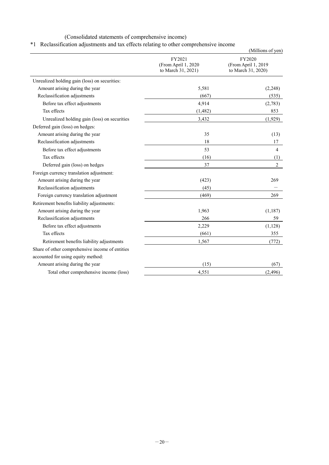### (Consolidated statements of comprehensive income)

### \*1 Reclassification adjustments and tax effects relating to other comprehensive income

|                                                 |                                                      | (Millions of yen)                                   |
|-------------------------------------------------|------------------------------------------------------|-----------------------------------------------------|
|                                                 | FY2021<br>(From April 1, 2020)<br>to March 31, 2021) | FY2020<br>(From April 1, 2019<br>to March 31, 2020) |
| Unrealized holding gain (loss) on securities:   |                                                      |                                                     |
| Amount arising during the year                  | 5,581                                                | (2,248)                                             |
| Reclassification adjustments                    | (667)                                                | (535)                                               |
| Before tax effect adjustments                   | 4,914                                                | (2,783)                                             |
| Tax effects                                     | (1, 482)                                             | 853                                                 |
| Unrealized holding gain (loss) on securities    | 3,432                                                | (1,929)                                             |
| Deferred gain (loss) on hedges:                 |                                                      |                                                     |
| Amount arising during the year                  | 35                                                   | (13)                                                |
| Reclassification adjustments                    | 18                                                   | 17                                                  |
| Before tax effect adjustments                   | 53                                                   | 4                                                   |
| Tax effects                                     | (16)                                                 | (1)                                                 |
| Deferred gain (loss) on hedges                  | 37                                                   | $\overline{2}$                                      |
| Foreign currency translation adjustment:        |                                                      |                                                     |
| Amount arising during the year                  | (423)                                                | 269                                                 |
| Reclassification adjustments                    | (45)                                                 |                                                     |
| Foreign currency translation adjustment         | (469)                                                | 269                                                 |
| Retirement benefits liability adjustments:      |                                                      |                                                     |
| Amount arising during the year                  | 1,963                                                | (1, 187)                                            |
| Reclassification adjustments                    | 266                                                  | 59                                                  |
| Before tax effect adjustments                   | 2,229                                                | (1, 128)                                            |
| Tax effects                                     | (661)                                                | 355                                                 |
| Retirement benefits liability adjustments       | 1,567                                                | (772)                                               |
| Share of other comprehensive income of entities |                                                      |                                                     |
| accounted for using equity method:              |                                                      |                                                     |
| Amount arising during the year                  | (15)                                                 | (67)                                                |
| Total other comprehensive income (loss)         | 4,551                                                | (2, 496)                                            |
|                                                 |                                                      |                                                     |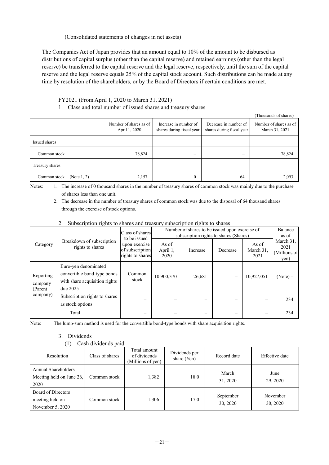(Consolidated statements of changes in net assets)

The Companies Act of Japan provides that an amount equal to 10% of the amount to be disbursed as distributions of capital surplus (other than the capital reserve) and retained earnings (other than the legal reserve) be transferred to the capital reserve and the legal reserve, respectively, until the sum of the capital reserve and the legal reserve equals 25% of the capital stock account. Such distributions can be made at any time by resolution of the shareholders, or by the Board of Directors if certain conditions are met.

#### FY2021 (From April 1, 2020 to March 31, 2021)

1. Class and total number of issued shares and treasury shares

|                                |                                         |                                                    |                                                    | (Thousands of shares)                    |
|--------------------------------|-----------------------------------------|----------------------------------------------------|----------------------------------------------------|------------------------------------------|
|                                | Number of shares as of<br>April 1, 2020 | Increase in number of<br>shares during fiscal year | Decrease in number of<br>shares during fiscal year | Number of shares as of<br>March 31, 2021 |
| Issued shares                  |                                         |                                                    |                                                    |                                          |
| Common stock                   | 78,824                                  | $\overline{\phantom{a}}$                           | $\overline{\phantom{a}}$                           | 78,824                                   |
| Treasury shares                |                                         |                                                    |                                                    |                                          |
| Common stock<br>(Note $1, 2$ ) | 2,157                                   | $\Omega$                                           | 64                                                 | 2,093                                    |

Notes: 1. The increase of 0 thousand shares in the number of treasury shares of common stock was mainly due to the purchase of shares less than one unit.

2. The decrease in the number of treasury shares of common stock was due to the disposal of 64 thousand shares through the exercise of stock options.

| Category                        |                                                                                                  | Class of shares<br>to be issued                      | Number of shares to be issued upon exercise of<br>subscription rights to shares (Shares) | Balance<br>as of |          |                            |                                           |
|---------------------------------|--------------------------------------------------------------------------------------------------|------------------------------------------------------|------------------------------------------------------------------------------------------|------------------|----------|----------------------------|-------------------------------------------|
|                                 | Breakdown of subscription<br>rights to shares                                                    | upon exercise<br>of subscription<br>rights to shares | As of<br>April 1,<br>2020                                                                | Increase         | Decrease | As of<br>March 31,<br>2021 | March 31,<br>2021<br>(Millions of<br>yen) |
| Reporting<br>company<br>(Parent | Euro-yen denominated<br>convertible bond-type bonds<br>with share acquisition rights<br>due 2025 | Common<br>stock                                      | 10,900,370                                                                               | 26,681           |          | 10,927,051                 | $(Note) -$                                |
| company)                        | Subscription rights to shares<br>as stock options                                                |                                                      |                                                                                          |                  |          |                            | 234                                       |
|                                 | Total                                                                                            |                                                      |                                                                                          |                  |          |                            | 234                                       |

#### 2. Subscription rights to shares and treasury subscription rights to shares

Note: The lump-sum method is used for the convertible bond-type bonds with share acquisition rights.

#### 3. Dividends

(1) Cash dividends paid

| Resolution                                                  | Class of shares | Total amount<br>of dividends<br>(Millions of yen) | Dividends per<br>share (Yen) | Record date           | Effective date       |
|-------------------------------------------------------------|-----------------|---------------------------------------------------|------------------------------|-----------------------|----------------------|
| Annual Shareholders<br>Meeting held on June 26,<br>2020     | Common stock    | 1,382                                             | 18.0                         | March<br>31, 2020     | June<br>29, 2020     |
| Board of Directors<br>meeting held on<br>November $5, 2020$ | Common stock    | 1,306                                             | 17.0                         | September<br>30, 2020 | November<br>30, 2020 |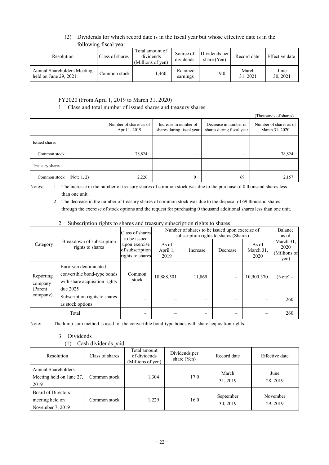#### (2) Dividends for which record date is in the fiscal year but whose effective date is in the following fiscal year

| Resolution                                             | Class of shares | Total amount of<br>dividends<br>(Millions of yen) | Source of<br>dividends | Dividends per<br>share (Yen) | Record date       | Effective date   |
|--------------------------------------------------------|-----------------|---------------------------------------------------|------------------------|------------------------------|-------------------|------------------|
| Annual Shareholders Meeting<br>held on June $29, 2021$ | Common stock    | 1.460                                             | Retained<br>earnings   | 19.0                         | March<br>31, 2021 | June<br>30, 2021 |

#### FY2020 (From April 1, 2019 to March 31, 2020)

#### 1. Class and total number of issued shares and treasury shares

(Thousands of shares) Number of shares as of April 1, 2019 Increase in number of shares during fiscal year Decrease in number of shares during fiscal year Number of shares as of March 31, 2020 Issued shares  $18,824$  –  $78,824$  –  $78,824$ Treasury shares Common stock (Note 1, 2) 2,226 2,226 0 69 2,157

Notes: 1. The increase in the number of treasury shares of common stock was due to the purchase of 0 thousand shares less than one unit.

2. The decrease in the number of treasury shares of common stock was due to the disposal of 69 thousand shares through the exercise of stock options and the request for purchasing 0 thousand additional shares less than one unit.

#### 2. Subscription rights to shares and treasury subscription rights to shares

| Category                        | Breakdown of subscription<br>rights to shares                                                    | Class of shares<br>to be issued<br>upon exercise<br>of subscription<br>rights to shares | Number of shares to be issued upon exercise of<br>subscription rights to shares (Shares) | Balance<br>as of |          |                            |                                           |
|---------------------------------|--------------------------------------------------------------------------------------------------|-----------------------------------------------------------------------------------------|------------------------------------------------------------------------------------------|------------------|----------|----------------------------|-------------------------------------------|
|                                 |                                                                                                  |                                                                                         | As of<br>April 1,<br>2019                                                                | Increase         | Decrease | As of<br>March 31,<br>2020 | March 31,<br>2020<br>(Millions of<br>yen) |
| Reporting<br>company<br>(Parent | Euro-yen denominated<br>convertible bond-type bonds<br>with share acquisition rights<br>due 2025 | Common<br>stock                                                                         | 10,888,501                                                                               | 11,869           |          | 10,900,370                 | $(Note) -$                                |
| company)                        | Subscription rights to shares<br>as stock options                                                |                                                                                         |                                                                                          |                  |          |                            | 260                                       |
|                                 | Total                                                                                            |                                                                                         |                                                                                          |                  |          |                            | 260                                       |

Note: The lump-sum method is used for the convertible bond-type bonds with share acquisition rights.

#### 3. Dividends

#### (1) Cash dividends paid

| Resolution                                                | Class of shares | Total amount<br>of dividends<br>(Millions of yen) | Dividends per<br>share (Yen) | Record date           | Effective date       |
|-----------------------------------------------------------|-----------------|---------------------------------------------------|------------------------------|-----------------------|----------------------|
| Annual Shareholders<br>Meeting held on June 27,<br>2019   | Common stock    | 1,304                                             | 17.0                         | March<br>31, 2019     | June<br>28, 2019     |
| Board of Directors<br>meeting held on<br>November 7, 2019 | Common stock    | 1,229                                             | 16.0                         | September<br>30, 2019 | November<br>29, 2019 |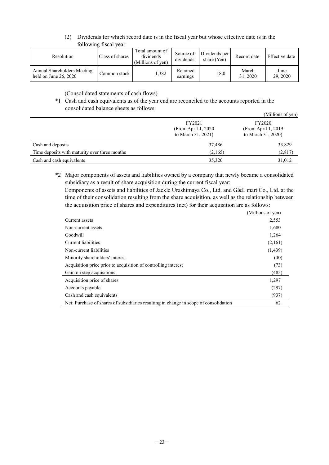#### (2) Dividends for which record date is in the fiscal year but whose effective date is in the following fiscal year

| Resolution                                             | Class of shares | Total amount of<br>dividends<br>(Millions of yen) | Source of<br>dividends | Dividends per<br>share (Yen) | Record date       | Effective date   |
|--------------------------------------------------------|-----------------|---------------------------------------------------|------------------------|------------------------------|-------------------|------------------|
| Annual Shareholders Meeting<br>held on June $26, 2020$ | Common stock    | 1.382                                             | Retained<br>earnings   | 18.0                         | March<br>31, 2020 | June<br>29, 2020 |

(Consolidated statements of cash flows)

#### \*1 Cash and cash equivalents as of the year end are reconciled to the accounts reported in the consolidated balance sheets as follows:

|                                               |                                                      | (Millions of yen)                                    |  |
|-----------------------------------------------|------------------------------------------------------|------------------------------------------------------|--|
|                                               | FY2021<br>(From April 1, 2020)<br>to March 31, 2021) | FY2020<br>(From April 1, 2019)<br>to March 31, 2020) |  |
| Cash and deposits                             | 37,486                                               |                                                      |  |
| Time deposits with maturity over three months | (2,165)                                              | (2,817)                                              |  |
| Cash and cash equivalents                     | 35,320                                               | 31,012                                               |  |

\*2 Major components of assets and liabilities owned by a company that newly became a consolidated subsidiary as a result of share acquisition during the current fiscal year:

Components of assets and liabilities of Jackle Urashimaya Co., Ltd. and G&L mart Co., Ltd. at the time of their consolidation resulting from the share acquisition, as well as the relationship between the acquisition price of shares and expenditures (net) for their acquisition are as follows:

|                                                                                       | (Millions of yen) |
|---------------------------------------------------------------------------------------|-------------------|
| Current assets                                                                        | 2,553             |
| Non-current assets                                                                    | 1,680             |
| Goodwill                                                                              | 1,264             |
| Current liabilities                                                                   | (2,161)           |
| Non-current liabilities                                                               | (1,439)           |
| Minority shareholders' interest                                                       | (40)              |
| Acquisition price prior to acquisition of controlling interest                        | (73)              |
| Gain on step acquisitions                                                             | (485)             |
| Acquisition price of shares                                                           | 1,297             |
| Accounts payable                                                                      | (297)             |
| Cash and cash equivalents                                                             | (937)             |
| Net: Purchase of shares of subsidiaries resulting in change in scope of consolidation | 62                |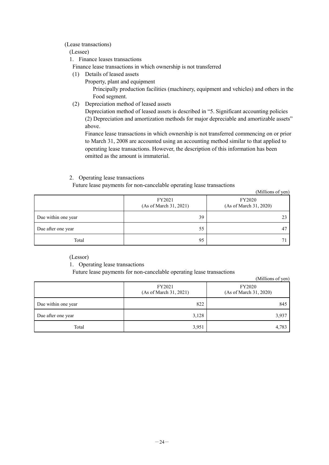#### (Lease transactions)

#### (Lessee)

- 1. Finance leases transactions
- Finance lease transactions in which ownership is not transferred
- (1) Details of leased assets
	- Property, plant and equipment

Principally production facilities (machinery, equipment and vehicles) and others in the Food segment.

(2) Depreciation method of leased assets

Depreciation method of leased assets is described in "5. Significant accounting policies (2) Depreciation and amortization methods for major depreciable and amortizable assets" above.

Finance lease transactions in which ownership is not transferred commencing on or prior to March 31, 2008 are accounted using an accounting method similar to that applied to operating lease transactions. However, the description of this information has been omitted as the amount is immaterial.

(Millions of yen)

(Millions of yen)

#### 2. Operating lease transactions

Future lease payments for non-cancelable operating lease transactions

|                     | FY2021<br>(As of March 31, 2021) | $($ <sup>1</sup><br><b>FY2020</b><br>(As of March 31, 2020) |
|---------------------|----------------------------------|-------------------------------------------------------------|
| Due within one year | 39                               |                                                             |
| Due after one year  | 55                               | 4 <sup>7</sup>                                              |
| Total               | 95                               |                                                             |

(Lessor)

1. Operating lease transactions

Future lease payments for non-cancelable operating lease transactions

|                     | FY2021<br>(As of March 31, 2021) | FY2020<br>(As of March 31, 2020) |
|---------------------|----------------------------------|----------------------------------|
| Due within one year | 822                              | 845                              |
| Due after one year  | 3,128                            | 3,937                            |
| Total               | 3,951                            | 4,783                            |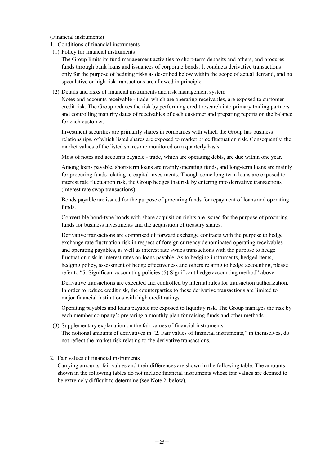(Financial instruments)

- 1. Conditions of financial instruments
- (1) Policy for financial instruments

The Group limits its fund management activities to short-term deposits and others, and procures funds through bank loans and issuances of corporate bonds. It conducts derivative transactions only for the purpose of hedging risks as described below within the scope of actual demand, and no speculative or high risk transactions are allowed in principle.

(2) Details and risks of financial instruments and risk management system

Notes and accounts receivable - trade, which are operating receivables, are exposed to customer credit risk. The Group reduces the risk by performing credit research into primary trading partners and controlling maturity dates of receivables of each customer and preparing reports on the balance for each customer.

Investment securities are primarily shares in companies with which the Group has business relationships, of which listed shares are exposed to market price fluctuation risk. Consequently, the market values of the listed shares are monitored on a quarterly basis.

Most of notes and accounts payable - trade, which are operating debts, are due within one year.

Among loans payable, short-term loans are mainly operating funds, and long-term loans are mainly for procuring funds relating to capital investments. Though some long-term loans are exposed to interest rate fluctuation risk, the Group hedges that risk by entering into derivative transactions (interest rate swap transactions).

Bonds payable are issued for the purpose of procuring funds for repayment of loans and operating funds.

Convertible bond-type bonds with share acquisition rights are issued for the purpose of procuring funds for business investments and the acquisition of treasury shares.

Derivative transactions are comprised of forward exchange contracts with the purpose to hedge exchange rate fluctuation risk in respect of foreign currency denominated operating receivables and operating payables, as well as interest rate swaps transactions with the purpose to hedge fluctuation risk in interest rates on loans payable. As to hedging instruments, hedged items, hedging policy, assessment of hedge effectiveness and others relating to hedge accounting, please refer to "5. Significant accounting policies (5) Significant hedge accounting method" above.

Derivative transactions are executed and controlled by internal rules for transaction authorization. In order to reduce credit risk, the counterparties to these derivative transactions are limited to major financial institutions with high credit ratings.

Operating payables and loans payable are exposed to liquidity risk. The Group manages the risk by each member company's preparing a monthly plan for raising funds and other methods.

(3) Supplementary explanation on the fair values of financial instruments The notional amounts of derivatives in "2. Fair values of financial instruments," in themselves, do not reflect the market risk relating to the derivative transactions.

#### 2. Fair values of financial instruments

Carrying amounts, fair values and their differences are shown in the following table. The amounts shown in the following tables do not include financial instruments whose fair values are deemed to be extremely difficult to determine (see Note 2 below).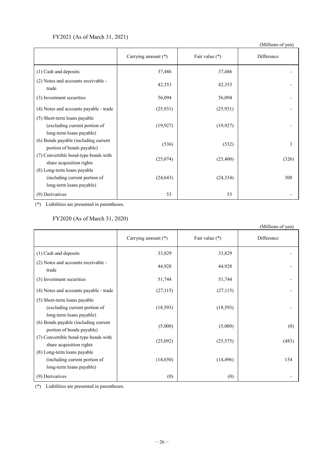#### FY2021 (As of March 31, 2021)

(Millions of yen)

|                                                                                           | Carrying amount (*) | Fair value (*) | Difference |
|-------------------------------------------------------------------------------------------|---------------------|----------------|------------|
| (1) Cash and deposits                                                                     | 37,486              | 37,486         |            |
| (2) Notes and accounts receivable -<br>trade                                              | 42,353              | 42,353         |            |
| (3) Investment securities                                                                 | 56,094              | 56,094         |            |
| (4) Notes and accounts payable - trade                                                    | (25, 931)           | (25, 931)      |            |
| (5) Short-term loans payable<br>(excluding current portion of<br>long-term loans payable) | (19, 927)           | (19, 927)      |            |
| (6) Bonds payable (including current<br>portion of bonds payable)                         | (536)               | (532)          | 3          |
| (7) Convertible bond-type bonds with<br>share acquisition rights                          | (25,074)            | (25, 400)      | (326)      |
| (8) Long-term loans payable<br>(including current portion of<br>long-term loans payable)  | (24, 643)           | (24, 334)      | 308        |
| (9) Derivatives                                                                           | 53                  | 53             |            |

(\*) Liabilities are presented in parentheses.

#### FY2020 (As of March 31, 2020)

|                                                                                           |                     |                  | (Millions of yen) |
|-------------------------------------------------------------------------------------------|---------------------|------------------|-------------------|
|                                                                                           | Carrying amount (*) | Fair value $(*)$ | Difference        |
| (1) Cash and deposits                                                                     | 33,829              | 33,829           |                   |
| (2) Notes and accounts receivable -<br>trade                                              | 44,928              | 44,928           |                   |
| (3) Investment securities                                                                 | 51,744              | 51,744           |                   |
| (4) Notes and accounts payable - trade                                                    | (27, 115)           | (27, 115)        |                   |
| (5) Short-term loans payable<br>(excluding current portion of<br>long-term loans payable) | (18, 593)           | (18, 593)        |                   |
| (6) Bonds payable (including current<br>portion of bonds payable)                         | (5,000)             | (5,000)          | (0)               |
| (7) Convertible bond-type bonds with<br>share acquisition rights                          | (25,092)            | (25,575)         | (483)             |
| (8) Long-term loans payable                                                               |                     |                  |                   |
| (including current portion of                                                             | (14,650)            | (14, 496)        | 154               |
| long-term loans payable)                                                                  |                     |                  |                   |
| (9) Derivatives                                                                           | (0)                 | (0)              |                   |

(\*) Liabilities are presented in parentheses.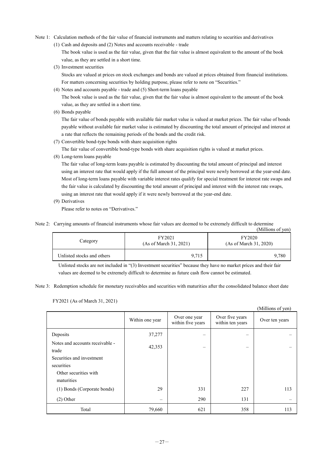Note 1: Calculation methods of the fair value of financial instruments and matters relating to securities and derivatives

(1) Cash and deposits and (2) Notes and accounts receivable - trade

The book value is used as the fair value, given that the fair value is almost equivalent to the amount of the book value, as they are settled in a short time.

(3) Investment securities

Stocks are valued at prices on stock exchanges and bonds are valued at prices obtained from financial institutions. For matters concerning securities by holding purpose, please refer to note on "Securities."

(4) Notes and accounts payable - trade and (5) Short-term loans payable

The book value is used as the fair value, given that the fair value is almost equivalent to the amount of the book value, as they are settled in a short time.

(6) Bonds payable

The fair value of bonds payable with available fair market value is valued at market prices. The fair value of bonds payable without available fair market value is estimated by discounting the total amount of principal and interest at a rate that reflects the remaining periods of the bonds and the credit risk.

(7) Convertible bond-type bonds with share acquisition rights

The fair value of convertible bond-type bonds with share acquisition rights is valued at market prices.

(8) Long-term loans payable

The fair value of long-term loans payable is estimated by discounting the total amount of principal and interest using an interest rate that would apply if the full amount of the principal were newly borrowed at the year-end date. Most of long-term loans payable with variable interest rates qualify for special treatment for interest rate swaps and the fair value is calculated by discounting the total amount of principal and interest with the interest rate swaps, using an interest rate that would apply if it were newly borrowed at the year-end date.

(9) Derivatives

Please refer to notes on "Derivatives."

Note 2: Carrying amounts of financial instruments whose fair values are deemed to be extremely difficult to determine

(Millions of yen)

 $\alpha$  curve of  $\alpha$ 

| Category                   | FY2021<br>(As of March 31, 2021) | <b>FY2020</b><br>(As of March 31, 2020) |  |
|----------------------------|----------------------------------|-----------------------------------------|--|
| Unlisted stocks and others | 9.715                            | 9.780                                   |  |

Unlisted stocks are not included in "(3) Investment securities" because they have no market prices and their fair values are deemed to be extremely difficult to determine as future cash flow cannot be estimated.

Note 3: Redemption schedule for monetary receivables and securities with maturities after the consolidated balance sheet date

| FY2021 (As of March 31, 2021) |  |  |  |  |
|-------------------------------|--|--|--|--|
|-------------------------------|--|--|--|--|

|                                                                                                                            |                 |                                    |                                     | (Millions 01 yen) |
|----------------------------------------------------------------------------------------------------------------------------|-----------------|------------------------------------|-------------------------------------|-------------------|
|                                                                                                                            | Within one year | Over one year<br>within five years | Over five years<br>within ten years | Over ten years    |
| Deposits                                                                                                                   | 37,277          |                                    |                                     |                   |
| Notes and accounts receivable -<br>trade<br>Securities and investment<br>securities<br>Other securities with<br>maturities | 42,353          | $\equiv$                           | $\qquad \qquad \longleftarrow$      |                   |
| (1) Bonds (Corporate bonds)                                                                                                | 29              | 331                                | 227                                 | 113               |
| $(2)$ Other                                                                                                                | $\equiv$        | 290                                | 131                                 |                   |
| Total                                                                                                                      | 79,660          | 621                                | 358                                 | 113               |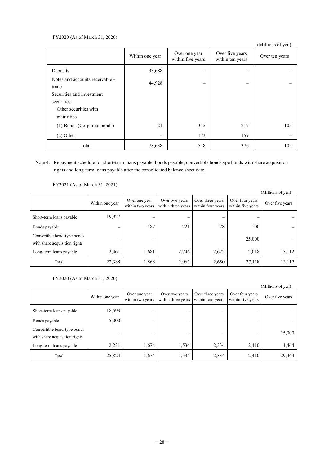#### FY2020 (As of March 31, 2020)

|                                          |                          |                                    |                                     | (Millions of yen) |
|------------------------------------------|--------------------------|------------------------------------|-------------------------------------|-------------------|
|                                          | Within one year          | Over one year<br>within five years | Over five years<br>within ten years | Over ten years    |
| Deposits                                 | 33,688                   |                                    |                                     |                   |
| Notes and accounts receivable -<br>trade | 44,928                   |                                    |                                     |                   |
| Securities and investment<br>securities  |                          |                                    |                                     |                   |
| Other securities with<br>maturities      |                          |                                    |                                     |                   |
| (1) Bonds (Corporate bonds)              | 21                       | 345                                | 217                                 | 105               |
| $(2)$ Other                              | $\overline{\phantom{m}}$ | 173                                | 159                                 |                   |
| Total                                    | 78,638                   | 518                                | 376                                 | 105               |

#### Note 4: Repayment schedule for short-term loans payable, bonds payable, convertible bond-type bonds with share acquisition rights and long-term loans payable after the consolidated balance sheet date

FY2021 (As of March 31, 2021)

|                                                              |                          |                                   |                                      |                                       |                                      | (Millions of yen) |
|--------------------------------------------------------------|--------------------------|-----------------------------------|--------------------------------------|---------------------------------------|--------------------------------------|-------------------|
|                                                              | Within one year          | Over one year<br>within two years | Over two years<br>within three years | Over three years<br>within four years | Over four years<br>within five years | Over five years   |
| Short-term loans payable                                     | 19,927                   | $\overline{\phantom{a}}$          | -                                    | $\overline{\phantom{a}}$              |                                      |                   |
| Bonds payable                                                | $\overline{\phantom{a}}$ | 187                               | 221                                  | 28                                    | 100                                  |                   |
| Convertible bond-type bonds<br>with share acquisition rights | $\overline{\phantom{a}}$ | $\overline{\phantom{a}}$          | -                                    | $\overline{\phantom{0}}$              | 25,000                               |                   |
| Long-term loans payable                                      | 2,461                    | 1,681                             | 2,746                                | 2,622                                 | 2,018                                | 13,112            |
| Total                                                        | 22,388                   | 1,868                             | 2,967                                | 2,650                                 | 27,118                               | 13,112            |

#### FY2020 (As of March 31, 2020)

|                                                              |                          |                                   |                                      |                                       |                                      | (Millions of yen) |
|--------------------------------------------------------------|--------------------------|-----------------------------------|--------------------------------------|---------------------------------------|--------------------------------------|-------------------|
|                                                              | Within one year          | Over one year<br>within two years | Over two years<br>within three years | Over three years<br>within four years | Over four years<br>within five years | Over five years   |
| Short-term loans payable                                     | 18,593                   | $\overline{\phantom{a}}$          | -                                    |                                       |                                      |                   |
| Bonds payable                                                | 5,000                    |                                   |                                      | -                                     |                                      |                   |
| Convertible bond-type bonds<br>with share acquisition rights | $\overline{\phantom{a}}$ | -                                 | -                                    | -                                     |                                      | 25,000            |
| Long-term loans payable                                      | 2,231                    | 1,674                             | 1,534                                | 2,334                                 | 2,410                                | 4,464             |
| Total                                                        | 25,824                   | 1,674                             | 1,534                                | 2,334                                 | 2,410                                | 29,464            |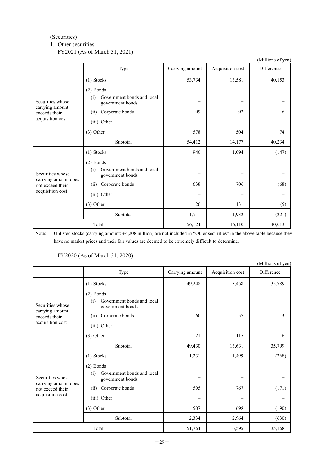#### (Securities)

#### 1. Other securities

#### FY2021 (As of March 31, 2021)

|                                                                                  |                                                                      |                          |                  | (Millions of yen) |
|----------------------------------------------------------------------------------|----------------------------------------------------------------------|--------------------------|------------------|-------------------|
|                                                                                  | Type                                                                 | Carrying amount          | Acquisition cost | Difference        |
| Securities whose<br>carrying amount                                              | (1) Stocks                                                           | 53,734                   | 13,581           | 40,153            |
|                                                                                  | $(2)$ Bonds<br>Government bonds and local<br>(i)<br>government bonds |                          |                  |                   |
| exceeds their                                                                    | Corporate bonds<br>(ii)                                              | 99                       | 92               | 6                 |
| acquisition cost                                                                 | (iii) Other                                                          | $\qquad \qquad -$        |                  |                   |
|                                                                                  | $(3)$ Other                                                          | 578                      | 504              | 74                |
|                                                                                  | Subtotal                                                             | 54,412                   | 14,177           | 40,234            |
|                                                                                  | (1) Stocks                                                           | 946                      | 1,094            | (147)             |
|                                                                                  | $(2)$ Bonds                                                          |                          |                  |                   |
| Securities whose<br>carrying amount does<br>not exceed their<br>acquisition cost | Government bonds and local<br>(i)<br>government bonds                | -                        |                  |                   |
|                                                                                  | Corporate bonds<br>(ii)                                              | 638                      | 706              | (68)              |
|                                                                                  | (iii) Other                                                          | $\overline{\phantom{0}}$ |                  |                   |
|                                                                                  | $(3)$ Other                                                          | 126                      | 131              | (5)               |
|                                                                                  | Subtotal                                                             | 1,711                    | 1,932            | (221)             |
| Total                                                                            |                                                                      | 56,124                   | 16,110           | 40,013            |

Note: Unlisted stocks (carrying amount: ¥4,208 million) are not included in "Other securities" in the above table because they have no market prices and their fair values are deemed to be extremely difficult to determine.

#### FY2020 (As of March 31, 2020)

|                                                                                  |                                                       |                 |                  | (Millions of yen) |
|----------------------------------------------------------------------------------|-------------------------------------------------------|-----------------|------------------|-------------------|
|                                                                                  | Type                                                  | Carrying amount | Acquisition cost | Difference        |
|                                                                                  | (1) Stocks                                            | 49,248          | 13,458           | 35,789            |
|                                                                                  | $(2)$ Bonds                                           |                 |                  |                   |
| Securities whose                                                                 | Government bonds and local<br>(i)<br>government bonds |                 |                  |                   |
| carrying amount<br>exceeds their                                                 | Corporate bonds<br>(i)                                | 60              | 57               | 3                 |
| acquisition cost                                                                 | (iii) Other                                           |                 |                  |                   |
|                                                                                  | $(3)$ Other                                           | 121             | 115              | 6                 |
|                                                                                  | Subtotal                                              | 49,430          | 13,631           | 35,799            |
|                                                                                  | (1) Stocks                                            | 1,231           | 1,499            | (268)             |
|                                                                                  | $(2)$ Bonds                                           |                 |                  |                   |
| Securities whose<br>carrying amount does<br>not exceed their<br>acquisition cost | Government bonds and local<br>(i)<br>government bonds |                 |                  |                   |
|                                                                                  | Corporate bonds<br>(ii)                               | 595             | 767              | (171)             |
|                                                                                  | (iii) Other                                           | -               |                  |                   |
|                                                                                  | $(3)$ Other                                           | 507             | 698              | (190)             |
|                                                                                  | Subtotal                                              | 2,334           | 2,964            | (630)             |
| Total                                                                            |                                                       | 51,764          | 16,595           | 35,168            |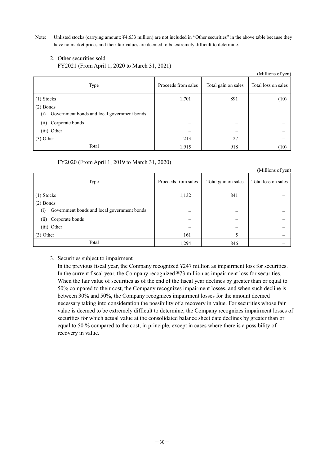Note: Unlisted stocks (carrying amount: ¥4,633 million) are not included in "Other securities" in the above table because they have no market prices and their fair values are deemed to be extremely difficult to determine.

#### 2. Other securities sold

FY2021 (From April 1, 2020 to March 31, 2021)

|                                                    |                          |                     | (Millions of yen)        |
|----------------------------------------------------|--------------------------|---------------------|--------------------------|
| Type                                               | Proceeds from sales      | Total gain on sales | Total loss on sales      |
| $(1)$ Stocks                                       | 1,701                    | 891                 | (10)                     |
| $(2)$ Bonds                                        |                          |                     |                          |
| Government bonds and local government bonds<br>(i) | $\overline{\phantom{0}}$ | –                   | $\overline{\phantom{0}}$ |
| Corporate bonds<br>(11)                            |                          |                     |                          |
| (iii) Other                                        |                          |                     |                          |
| $(3)$ Other                                        | 213                      | 27                  |                          |
| Total                                              | 1,915                    | 918                 | (10)                     |

FY2020 (From April 1, 2019 to March 31, 2020)

|                                                    |                     |                     | (Millions of yen)   |
|----------------------------------------------------|---------------------|---------------------|---------------------|
| Type                                               | Proceeds from sales | Total gain on sales | Total loss on sales |
| (1) Stocks                                         | 1,132               | 841                 |                     |
| $(2)$ Bonds                                        |                     |                     |                     |
| Government bonds and local government bonds<br>(i) |                     |                     |                     |
| Corporate bonds<br>(ii)                            |                     |                     |                     |
| (iii) Other                                        |                     |                     |                     |
| $(3)$ Other                                        | 161                 |                     |                     |
| Total                                              | 1,294               | 846                 |                     |

#### 3. Securities subject to impairment

In the previous fiscal year, the Company recognized ¥247 million as impairment loss for securities. In the current fiscal year, the Company recognized ¥73 million as impairment loss for securities. When the fair value of securities as of the end of the fiscal year declines by greater than or equal to 50% compared to their cost, the Company recognizes impairment losses, and when such decline is between 30% and 50%, the Company recognizes impairment losses for the amount deemed necessary taking into consideration the possibility of a recovery in value. For securities whose fair value is deemed to be extremely difficult to determine, the Company recognizes impairment losses of securities for which actual value at the consolidated balance sheet date declines by greater than or equal to 50 % compared to the cost, in principle, except in cases where there is a possibility of recovery in value.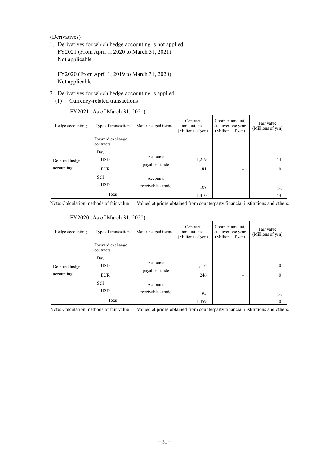(Derivatives)

1. Derivatives for which hedge accounting is not applied FY2021 (From April 1, 2020 to March 31, 2021) Not applicable

FY2020 (From April 1, 2019 to March 31, 2020) Not applicable

- 2. Derivatives for which hedge accounting is applied
	- (1) Currency-related transactions

| Hedge accounting             | Type of transaction                  | Major hedged items                 | Contract<br>amount, etc.<br>(Millions of yen) | Contract amount,<br>etc. over one year<br>(Millions of yen) | Fair value<br>(Millions of yen) |
|------------------------------|--------------------------------------|------------------------------------|-----------------------------------------------|-------------------------------------------------------------|---------------------------------|
|                              | Forward exchange<br>contracts<br>Buy |                                    |                                               |                                                             |                                 |
| Deferred hedge<br>accounting | <b>USD</b><br><b>EUR</b>             | <b>Accounts</b><br>payable - trade | 1,219<br>81                                   |                                                             | 54<br>$\bf{0}$                  |
|                              | Sell<br><b>USD</b>                   | Accounts<br>receivable - trade     | 108                                           |                                                             | (1)                             |
| Total                        |                                      | 1,410                              |                                               | 53                                                          |                                 |

#### FY2021 (As of March 31, 2021)

Note: Calculation methods of fair value Valued at prices obtained from counterparty financial institutions and others.

| Hedge accounting             | Type of transaction                  | Major hedged items             | Contract<br>amount, etc.<br>(Millions of yen) | Contract amount,<br>etc. over one year<br>(Millions of yen) | Fair value<br>(Millions of yen) |
|------------------------------|--------------------------------------|--------------------------------|-----------------------------------------------|-------------------------------------------------------------|---------------------------------|
|                              | Forward exchange<br>contracts<br>Buy |                                |                                               |                                                             |                                 |
| Deferred hedge<br>accounting | <b>USD</b><br><b>EUR</b>             | Accounts<br>payable - trade    | 1,116<br>246                                  | $\overline{\phantom{a}}$                                    | $\Omega$<br>$\mathbf{0}$        |
|                              | Sell<br><b>USD</b>                   | Accounts<br>receivable - trade | 95                                            | $\overline{\phantom{a}}$                                    | (1)                             |
|                              | Total                                |                                | 1,459                                         |                                                             | 0                               |

#### FY2020 (As of March 31, 2020)

Note: Calculation methods of fair value Valued at prices obtained from counterparty financial institutions and others.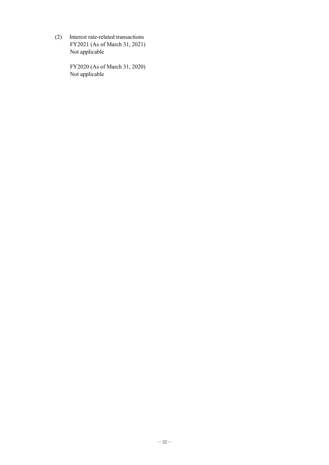(2) Interest rate-related transactions FY2021 (As of March 31, 2021) Not applicable

> FY2020 (As of March 31, 2020) Not applicable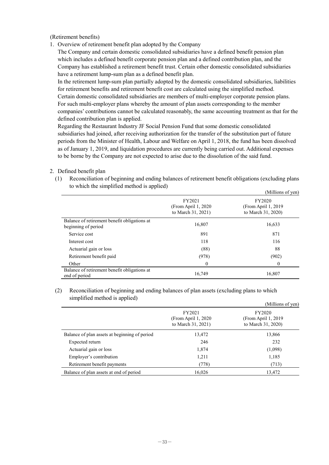(Retirement benefits)

1. Overview of retirement benefit plan adopted by the Company

The Company and certain domestic consolidated subsidiaries have a defined benefit pension plan which includes a defined benefit corporate pension plan and a defined contribution plan, and the Company has established a retirement benefit trust. Certain other domestic consolidated subsidiaries have a retirement lump-sum plan as a defined benefit plan.

In the retirement lump-sum plan partially adopted by the domestic consolidated subsidiaries, liabilities for retirement benefits and retirement benefit cost are calculated using the simplified method. Certain domestic consolidated subsidiaries are members of multi-employer corporate pension plans. For such multi-employer plans whereby the amount of plan assets corresponding to the member companies' contributions cannot be calculated reasonably, the same accounting treatment as that for the defined contribution plan is applied.

Regarding the Restaurant Industry JF Social Pension Fund that some domestic consolidated subsidiaries had joined, after receiving authorization for the transfer of the substitution part of future periods from the Minister of Health, Labour and Welfare on April 1, 2018, the fund has been dissolved as of January 1, 2019, and liquidation procedures are currently being carried out. Additional expenses to be borne by the Company are not expected to arise due to the dissolution of the said fund.

- 2. Defined benefit plan
	- (1) Reconciliation of beginning and ending balances of retirement benefit obligations (excluding plans to which the simplified method is applied)

|                                                                     |                                                     | (Millions of yen)                                    |
|---------------------------------------------------------------------|-----------------------------------------------------|------------------------------------------------------|
|                                                                     | FY2021<br>(From April 1, 2020<br>to March 31, 2021) | FY2020<br>(From April 1, 2019)<br>to March 31, 2020) |
| Balance of retirement benefit obligations at<br>beginning of period | 16,807                                              | 16,633                                               |
| Service cost                                                        | 891                                                 | 871                                                  |
| Interest cost                                                       | 118                                                 | 116                                                  |
| Actuarial gain or loss                                              | (88)                                                | 88                                                   |
| Retirement benefit paid                                             | (978)                                               | (902)                                                |
| Other                                                               | $\theta$                                            | 0                                                    |
| Balance of retirement benefit obligations at<br>end of period       | 16,749                                              | 16,807                                               |

(2) Reconciliation of beginning and ending balances of plan assets (excluding plans to which simplified method is applied)

|                                               |                                                      | (Millions of yen)                                    |
|-----------------------------------------------|------------------------------------------------------|------------------------------------------------------|
|                                               | FY2021<br>(From April 1, 2020)<br>to March 31, 2021) | FY2020<br>(From April 1, 2019)<br>to March 31, 2020) |
| Balance of plan assets at beginning of period | 13,472                                               | 13,866                                               |
| Expected return                               | 246                                                  | 232                                                  |
| Actuarial gain or loss                        | 1,874                                                | (1,098)                                              |
| Employer's contribution                       | 1,211                                                | 1,185                                                |
| Retirement benefit payments                   | (778)                                                | (713)                                                |
| Balance of plan assets at end of period       | 16,026                                               | 13,472                                               |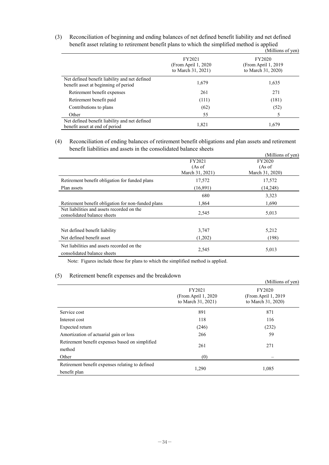(3) Reconciliation of beginning and ending balances of net defined benefit liability and net defined benefit asset relating to retirement benefit plans to which the simplified method is applied<br>(Millie

|                                                                                       |                                                      | (Millions of yen)                                    |
|---------------------------------------------------------------------------------------|------------------------------------------------------|------------------------------------------------------|
|                                                                                       | FY2021<br>(From April 1, 2020)<br>to March 31, 2021) | FY2020<br>(From April 1, 2019)<br>to March 31, 2020) |
| Net defined benefit liability and net defined<br>benefit asset at beginning of period | 1,679                                                | 1,635                                                |
| Retirement benefit expenses                                                           | 261                                                  | 271                                                  |
| Retirement benefit paid                                                               | (111)                                                | (181)                                                |
| Contributions to plans                                                                | (62)                                                 | (52)                                                 |
| Other                                                                                 | 55                                                   |                                                      |
| Net defined benefit liability and net defined<br>benefit asset at end of period       | 1,821                                                | 1,679                                                |

(4) Reconciliation of ending balances of retirement benefit obligations and plan assets and retirement benefit liabilities and assets in the consolidated balance sheets

|                                                    |                 | (Millions of yen) |  |
|----------------------------------------------------|-----------------|-------------------|--|
|                                                    | FY2021          | FY2020            |  |
|                                                    | (As of          | (As of            |  |
|                                                    | March 31, 2021) | March 31, 2020)   |  |
| Retirement benefit obligation for funded plans     | 17,572          | 17,572            |  |
| Plan assets                                        | (16,891)        | (14,248)          |  |
|                                                    | 680             | 3,323             |  |
| Retirement benefit obligation for non-funded plans | 1,864           | 1,690             |  |
| Net liabilities and assets recorded on the         | 2,545           | 5,013             |  |
| consolidated balance sheets                        |                 |                   |  |
|                                                    |                 |                   |  |
| Net defined benefit liability                      | 3,747           | 5,212             |  |
| Net defined benefit asset                          | (1,202)         | (198)             |  |
| Net liabilities and assets recorded on the         |                 |                   |  |
| consolidated balance sheets                        | 2,545           | 5,013             |  |

Note: Figures include those for plans to which the simplified method is applied.

#### (5) Retirement benefit expenses and the breakdown

|                                                                 |                                                      | (Millions of yen)                                    |
|-----------------------------------------------------------------|------------------------------------------------------|------------------------------------------------------|
|                                                                 | FY2021<br>(From April 1, 2020)<br>to March 31, 2021) | FY2020<br>(From April 1, 2019)<br>to March 31, 2020) |
| Service cost                                                    | 891                                                  | 871                                                  |
| Interest cost                                                   | 118                                                  | 116                                                  |
| Expected return                                                 | (246)                                                | (232)                                                |
| Amortization of actuarial gain or loss                          | 266                                                  | 59                                                   |
| Retirement benefit expenses based on simplified<br>method       | 261                                                  | 271                                                  |
| Other                                                           | (0)                                                  |                                                      |
| Retirement benefit expenses relating to defined<br>benefit plan | 1,290                                                | 1,085                                                |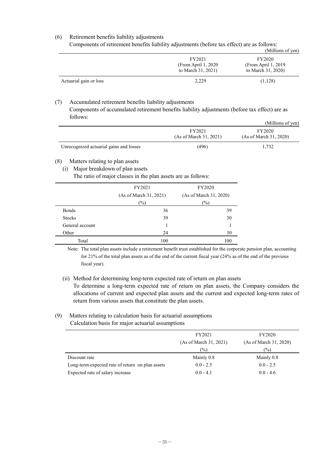#### (6) Retirement benefits liability adjustments

Components of retirement benefits liability adjustments (before tax effect) are as follows:

|                        |                                                      | (Millions of yen)                                    |
|------------------------|------------------------------------------------------|------------------------------------------------------|
|                        | FY2021<br>(From April 1, 2020)<br>to March 31, 2021) | FY2020<br>(From April 1, 2019)<br>to March 31, 2020) |
| Actuarial gain or loss | 2.229                                                | (1,128)                                              |

#### (7) Accumulated retirement benefits liability adjustments

Components of accumulated retirement benefits liability adjustments (before tax effect) are as follows:

|                                         |                                  | (Millions of yen)                |
|-----------------------------------------|----------------------------------|----------------------------------|
|                                         | FY2021<br>(As of March 31, 2021) | FY2020<br>(As of March 31, 2020) |
| Unrecognized actuarial gains and losses | (496)                            | 1.732                            |

#### (8) Matters relating to plan assets

(i) Major breakdown of plan assets

|                 | FY2021                 | FY2020<br>(As of March 31, 2020)<br>(%) |  |
|-----------------|------------------------|-----------------------------------------|--|
|                 | (As of March 31, 2021) |                                         |  |
|                 | $(\%)$                 |                                         |  |
| <b>Bonds</b>    | 36                     | 39                                      |  |
| <b>Stocks</b>   | 39                     | 30                                      |  |
| General account |                        |                                         |  |
| Other           | 24                     | 30                                      |  |
| Total           | 100                    | 100                                     |  |

The ratio of major classes in the plan assets are as follows:

Note: The total plan assets include a retirement benefit trust established for the corporate pension plan, accounting for 21% of the total plan assets as of the end of the current fiscal year (24% as of the end of the previous fiscal year).

### (ii) Method for determining long-term expected rate of return on plan assets

To determine a long-term expected rate of return on plan assets, the Company considers the allocations of current and expected plan assets and the current and expected long-term rates of return from various assets that constitute the plan assets.

#### (9) Matters relating to calculation basis for actuarial assumptions Calculation basis for major actuarial assumptions

|                                                  | FY2021                 | FY2020                 |
|--------------------------------------------------|------------------------|------------------------|
|                                                  | (As of March 31, 2021) | (As of March 31, 2020) |
|                                                  | (%)                    | $\frac{1}{2}$          |
| Discount rate                                    | Mainly 0.8             | Mainly 0.8             |
| Long-term expected rate of return on plan assets | $0.0 - 2.5$            | $0.0 - 2.5$            |
| Expected rate of salary increase                 | $0.0 - 4.1$            | $0.0 - 4.6$            |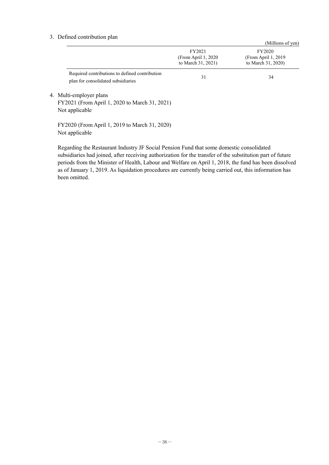#### 3. Defined contribution plan

|                                                                                            |                                                      | (Millions of yen)                                    |
|--------------------------------------------------------------------------------------------|------------------------------------------------------|------------------------------------------------------|
|                                                                                            | FY2021<br>(From April 1, 2020)<br>to March 31, 2021) | FY2020<br>(From April 1, 2019)<br>to March 31, 2020) |
| Required contributions to defined contribution<br>plan for consolidated subsidiaries       | 31                                                   | 34                                                   |
| 4. Multi-employer plans<br>FY2021 (From April 1, 2020 to March 31, 2021)<br>Not applicable |                                                      |                                                      |
| FY2020 (From April 1, 2019 to March 31, 2020)<br>Not applicable                            |                                                      |                                                      |

Regarding the Restaurant Industry JF Social Pension Fund that some domestic consolidated subsidiaries had joined, after receiving authorization for the transfer of the substitution part of future periods from the Minister of Health, Labour and Welfare on April 1, 2018, the fund has been dissolved as of January 1, 2019. As liquidation procedures are currently being carried out, this information has been omitted.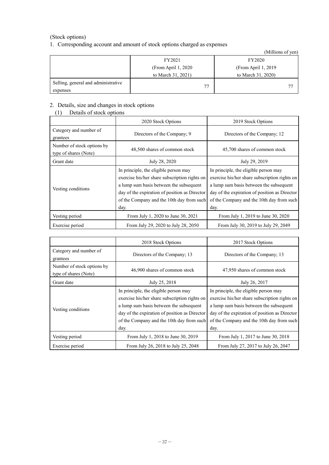#### (Stock options)

#### 1. Corresponding account and amount of stock options charged as expenses

|                                                 |                      | (Millions of yen)    |
|-------------------------------------------------|----------------------|----------------------|
|                                                 | FY2021               | FY2020               |
|                                                 | (From April 1, 2020) | (From April 1, 2019) |
|                                                 | to March 31, 2021)   | to March 31, 2020)   |
| Selling, general and administrative<br>expenses | 77                   | 77                   |

#### 2. Details, size and changes in stock options

#### (1) Details of stock options

|                                                     | 2020 Stock Options                                                                                                                                                                                                                      | 2019 Stock Options                                                                                                                                                                                                                      |
|-----------------------------------------------------|-----------------------------------------------------------------------------------------------------------------------------------------------------------------------------------------------------------------------------------------|-----------------------------------------------------------------------------------------------------------------------------------------------------------------------------------------------------------------------------------------|
| Category and number of<br>grantees                  | Directors of the Company; 9                                                                                                                                                                                                             | Directors of the Company; 12                                                                                                                                                                                                            |
| Number of stock options by<br>type of shares (Note) | 48,500 shares of common stock                                                                                                                                                                                                           | 45,700 shares of common stock                                                                                                                                                                                                           |
| Grant date                                          | July 28, 2020                                                                                                                                                                                                                           | July 29, 2019                                                                                                                                                                                                                           |
| Vesting conditions                                  | In principle, the eligible person may<br>exercise his/her share subscription rights on<br>a lump sum basis between the subsequent<br>day of the expiration of position as Director<br>of the Company and the 10th day from such<br>day. | In principle, the eligible person may<br>exercise his/her share subscription rights on<br>a lump sum basis between the subsequent<br>day of the expiration of position as Director<br>of the Company and the 10th day from such<br>day. |
| Vesting period                                      | From July 1, 2020 to June 30, 2021                                                                                                                                                                                                      | From July 1, 2019 to June 30, 2020                                                                                                                                                                                                      |
| Exercise period                                     | From July 29, 2020 to July 28, 2050                                                                                                                                                                                                     | From July 30, 2019 to July 29, 2049                                                                                                                                                                                                     |

|                                                     | 2018 Stock Options                                                                                                                                                                                                                      | 2017 Stock Options                                                                                                                                                                                                                      |
|-----------------------------------------------------|-----------------------------------------------------------------------------------------------------------------------------------------------------------------------------------------------------------------------------------------|-----------------------------------------------------------------------------------------------------------------------------------------------------------------------------------------------------------------------------------------|
| Category and number of<br>grantees                  | Directors of the Company; 13                                                                                                                                                                                                            | Directors of the Company; 13                                                                                                                                                                                                            |
| Number of stock options by<br>type of shares (Note) | 46,900 shares of common stock                                                                                                                                                                                                           | 47,950 shares of common stock                                                                                                                                                                                                           |
| Grant date                                          | July 25, 2018                                                                                                                                                                                                                           | July 26, 2017                                                                                                                                                                                                                           |
| Vesting conditions                                  | In principle, the eligible person may<br>exercise his/her share subscription rights on<br>a lump sum basis between the subsequent<br>day of the expiration of position as Director<br>of the Company and the 10th day from such<br>day. | In principle, the eligible person may<br>exercise his/her share subscription rights on<br>a lump sum basis between the subsequent<br>day of the expiration of position as Director<br>of the Company and the 10th day from such<br>day. |
| Vesting period                                      | From July 1, 2018 to June 30, 2019                                                                                                                                                                                                      | From July 1, 2017 to June 30, 2018                                                                                                                                                                                                      |
| Exercise period                                     | From July 26, 2018 to July 25, 2048                                                                                                                                                                                                     | From July 27, 2017 to July 26, 2047                                                                                                                                                                                                     |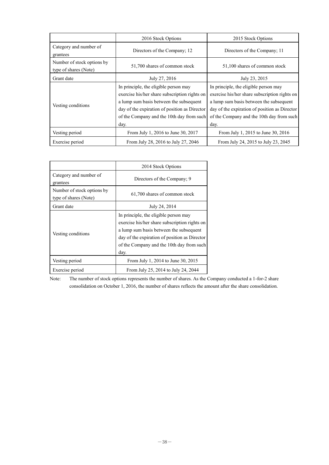|                                                     | 2016 Stock Options                                                                                                                                                                                                                      | 2015 Stock Options                                                                                                                                                                                                                      |
|-----------------------------------------------------|-----------------------------------------------------------------------------------------------------------------------------------------------------------------------------------------------------------------------------------------|-----------------------------------------------------------------------------------------------------------------------------------------------------------------------------------------------------------------------------------------|
| Category and number of<br>grantees                  | Directors of the Company; 12                                                                                                                                                                                                            | Directors of the Company; 11                                                                                                                                                                                                            |
| Number of stock options by<br>type of shares (Note) | 51,700 shares of common stock                                                                                                                                                                                                           | 51,100 shares of common stock                                                                                                                                                                                                           |
| Grant date                                          | July 27, 2016                                                                                                                                                                                                                           | July 23, 2015                                                                                                                                                                                                                           |
| Vesting conditions                                  | In principle, the eligible person may<br>exercise his/her share subscription rights on<br>a lump sum basis between the subsequent<br>day of the expiration of position as Director<br>of the Company and the 10th day from such<br>day. | In principle, the eligible person may<br>exercise his/her share subscription rights on<br>a lump sum basis between the subsequent<br>day of the expiration of position as Director<br>of the Company and the 10th day from such<br>day. |
| Vesting period                                      | From July 1, 2016 to June 30, 2017                                                                                                                                                                                                      | From July 1, 2015 to June 30, 2016                                                                                                                                                                                                      |
| Exercise period                                     | From July 28, 2016 to July 27, 2046                                                                                                                                                                                                     | From July 24, 2015 to July 23, 2045                                                                                                                                                                                                     |

|                                                     | 2014 Stock Options                                                                                                                                                                                                                      |
|-----------------------------------------------------|-----------------------------------------------------------------------------------------------------------------------------------------------------------------------------------------------------------------------------------------|
| Category and number of<br>grantees                  | Directors of the Company; 9                                                                                                                                                                                                             |
| Number of stock options by<br>type of shares (Note) | 61,700 shares of common stock                                                                                                                                                                                                           |
| Grant date                                          | July 24, 2014                                                                                                                                                                                                                           |
| Vesting conditions                                  | In principle, the eligible person may<br>exercise his/her share subscription rights on<br>a lump sum basis between the subsequent<br>day of the expiration of position as Director<br>of the Company and the 10th day from such<br>day. |
| Vesting period                                      | From July 1, 2014 to June 30, 2015                                                                                                                                                                                                      |
| Exercise period                                     | From July 25, 2014 to July 24, 2044                                                                                                                                                                                                     |

Note: The number of stock options represents the number of shares. As the Company conducted a 1-for-2 share consolidation on October 1, 2016, the number of shares reflects the amount after the share consolidation.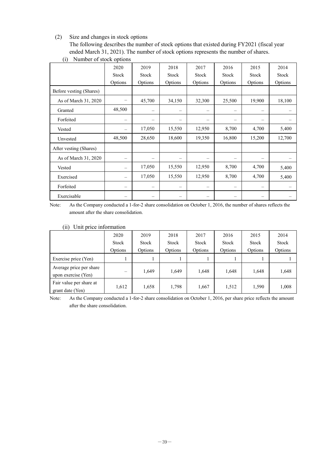#### (2) Size and changes in stock options

The following describes the number of stock options that existed during FY2021 (fiscal year ended March 31, 2021). The number of stock options represents the number of shares.

|                         | 2020                     | 2019    | 2018    | 2017    | 2016                           | 2015    | 2014    |
|-------------------------|--------------------------|---------|---------|---------|--------------------------------|---------|---------|
|                         | Stock                    | Stock   | Stock   | Stock   | Stock                          | Stock   | Stock   |
|                         | Options                  | Options | Options | Options | Options                        | Options | Options |
| Before vesting (Shares) |                          |         |         |         |                                |         |         |
| As of March 31, 2020    |                          | 45,700  | 34,150  | 32,300  | 25,500                         | 19,900  | 18,100  |
| Granted                 | 48,500                   | —       |         |         | $\qquad \qquad \longleftarrow$ |         |         |
| Forfeited               | -                        |         |         |         | $\qquad \qquad \longleftarrow$ |         |         |
| Vested                  |                          | 17,050  | 15,550  | 12,950  | 8,700                          | 4,700   | 5,400   |
| Unvested                | 48,500                   | 28,650  | 18,600  | 19,350  | 16,800                         | 15,200  | 12,700  |
| After vesting (Shares)  |                          |         |         |         |                                |         |         |
| As of March 31, 2020    | -                        | —       |         |         | $\qquad \qquad \longleftarrow$ |         |         |
| Vested                  |                          | 17,050  | 15,550  | 12,950  | 8,700                          | 4,700   | 5,400   |
| Exercised               | $\overline{\phantom{0}}$ | 17,050  | 15,550  | 12,950  | 8,700                          | 4,700   | 5,400   |
| Forfeited               |                          |         |         |         | $\qquad \qquad \longleftarrow$ |         |         |
| Exercisable             |                          |         |         |         |                                |         |         |

(i) Number of stock options

Note: As the Company conducted a 1-for-2 share consolidation on October 1, 2016, the number of shares reflects the amount after the share consolidation.

#### (ii) Unit price information

|                                                | 2020<br>Stock<br>Options | 2019<br>Stock<br>Options | 2018<br>Stock<br>Options | 2017<br>Stock<br>Options | 2016<br>Stock<br>Options | 2015<br>Stock<br>Options | 2014<br>Stock<br>Options |
|------------------------------------------------|--------------------------|--------------------------|--------------------------|--------------------------|--------------------------|--------------------------|--------------------------|
| Exercise price (Yen)                           |                          |                          |                          |                          |                          |                          |                          |
| Average price per share<br>upon exercise (Yen) | $\overline{\phantom{0}}$ | 1,649                    | 1,649                    | 1,648                    | 1,648                    | 1,648                    | 1,648                    |
| Fair value per share at<br>grant date (Yen)    | 1,612                    | 1,658                    | 1,798                    | 1,667                    | 1,512                    | 1,590                    | 1,008                    |

Note: As the Company conducted a 1-for-2 share consolidation on October 1, 2016, per share price reflects the amount after the share consolidation.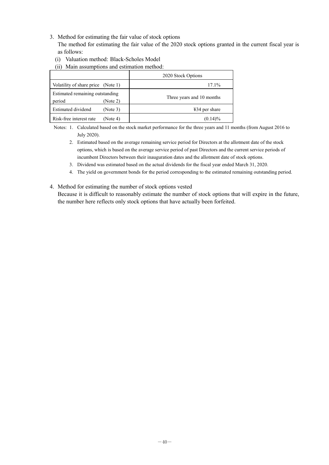3. Method for estimating the fair value of stock options

The method for estimating the fair value of the 2020 stock options granted in the current fiscal year is as follows:

- (i) Valuation method: Black-Scholes Model
- (ii) Main assumptions and estimation method:

|                                                       | 2020 Stock Options        |
|-------------------------------------------------------|---------------------------|
| Volatility of share price (Note 1)                    | $17.1\%$                  |
| Estimated remaining outstanding<br>period<br>(Note 2) | Three years and 10 months |
| Estimated dividend<br>(Note 3)                        | $434$ per share           |
| Risk-free interest rate<br>(Note 4)                   | $(0.14)\%$                |

Notes: 1. Calculated based on the stock market performance for the three years and 11 months (from August 2016 to July 2020).

- 2. Estimated based on the average remaining service period for Directors at the allotment date of the stock options, which is based on the average service period of past Directors and the current service periods of incumbent Directors between their inauguration dates and the allotment date of stock options.
- 3. Dividend was estimated based on the actual dividends for the fiscal year ended March 31, 2020.
- 4. The yield on government bonds for the period corresponding to the estimated remaining outstanding period.
- 4. Method for estimating the number of stock options vested Because it is difficult to reasonably estimate the number of stock options that will expire in the future, the number here reflects only stock options that have actually been forfeited.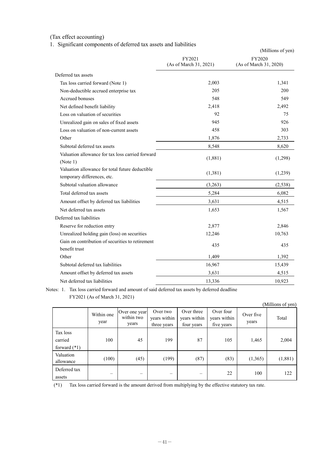### (Tax effect accounting)

1. Significant components of deferred tax assets and liabilities

|                                                                                | FY2021<br>(As of March 31, 2021) | (Millions of yen)<br>FY2020<br>(As of March 31, 2020) |
|--------------------------------------------------------------------------------|----------------------------------|-------------------------------------------------------|
| Deferred tax assets                                                            |                                  |                                                       |
| Tax loss carried forward (Note 1)                                              | 2,003                            | 1,341                                                 |
| Non-deductible accrued enterprise tax                                          | 205                              | 200                                                   |
| Accrued bonuses                                                                | 548                              | 549                                                   |
| Net defined benefit liability                                                  | 2,418                            | 2,492                                                 |
| Loss on valuation of securities                                                | 92                               | 75                                                    |
| Unrealized gain on sales of fixed assets                                       | 945                              | 926                                                   |
| Loss on valuation of non-current assets                                        | 458                              | 303                                                   |
| Other                                                                          | 1,876                            | 2,733                                                 |
| Subtotal deferred tax assets                                                   | 8,548                            | 8,620                                                 |
| Valuation allowance for tax loss carried forward<br>(Note 1)                   | (1,881)                          | (1,298)                                               |
| Valuation allowance for total future deductible<br>temporary differences, etc. | (1,381)                          | (1,239)                                               |
| Subtotal valuation allowance                                                   | (3,263)                          | (2,538)                                               |
| Total deferred tax assets                                                      | 5,284                            | 6,082                                                 |
| Amount offset by deferred tax liabilities                                      | 3,631                            | 4,515                                                 |
| Net deferred tax assets                                                        | 1,653                            | 1,567                                                 |
| Deferred tax liabilities                                                       |                                  |                                                       |
| Reserve for reduction entry                                                    | 2,877                            | 2,846                                                 |
| Unrealized holding gain (loss) on securities                                   | 12,246                           | 10,763                                                |
| Gain on contribution of securities to retirement                               |                                  |                                                       |
| benefit trust                                                                  | 435                              | 435                                                   |
| Other                                                                          | 1,409                            | 1,392                                                 |
| Subtotal deferred tax liabilities                                              | 16,967                           | 15,439                                                |
| Amount offset by deferred tax assets                                           | 3,631                            | 4,515                                                 |
| Net deferred tax liabilities                                                   | 13,336                           | 10,923                                                |

Notes: 1. Tax loss carried forward and amount of said deferred tax assets by deferred deadline FY2021 (As of March 31, 2021)

|                                       |                          |                                      |                                         |                                          |                                         |                    | (Millions of yen) |
|---------------------------------------|--------------------------|--------------------------------------|-----------------------------------------|------------------------------------------|-----------------------------------------|--------------------|-------------------|
|                                       | Within one<br>year       | Over one year<br>within two<br>years | Over two<br>years within<br>three years | Over three<br>years within<br>four years | Over four<br>years within<br>five years | Over five<br>years | Total             |
| Tax loss<br>carried<br>forward $(*1)$ | 100                      | 45                                   | 199                                     | 87                                       | 105                                     | 1,465              | 2,004             |
| Valuation<br>allowance                | (100)                    | (45)                                 | (199)                                   | (87)                                     | (83)                                    | (1,365)            | (1,881)           |
| Deferred tax<br>assets                | $\overline{\phantom{0}}$ |                                      | $\overline{\phantom{0}}$                | —                                        | 22                                      | 100                | 122               |

(\*1) Tax loss carried forward is the amount derived from multiplying by the effective statutory tax rate.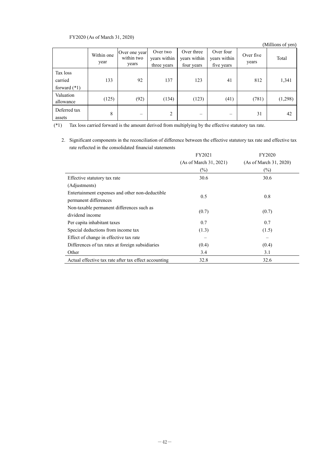#### FY2020 (As of March 31, 2020)

|                                       |                    |                                      |                                         |                                          |                                         |                    | (Millions of yen) |
|---------------------------------------|--------------------|--------------------------------------|-----------------------------------------|------------------------------------------|-----------------------------------------|--------------------|-------------------|
|                                       | Within one<br>year | Over one year<br>within two<br>years | Over two<br>years within<br>three years | Over three<br>years within<br>four years | Over four<br>years within<br>five years | Over five<br>years | Total             |
| Tax loss<br>carried<br>forward $(*1)$ | 133                | 92                                   | 137                                     | 123                                      | 41                                      | 812                | 1,341             |
| Valuation<br>allowance                | (125)              | (92)                                 | (134)                                   | (123)                                    | (41)                                    | (781)              | (1,298)           |
| Deferred tax<br>assets                | 8                  |                                      | 2                                       |                                          | –                                       | 31                 | 42                |

(\*1) Tax loss carried forward is the amount derived from multiplying by the effective statutory tax rate.

2. Significant components in the reconciliation of difference between the effective statutory tax rate and effective tax rate reflected in the consolidated financial statements

|                                                       | FY2021                 | FY2020                 |
|-------------------------------------------------------|------------------------|------------------------|
|                                                       | (As of March 31, 2021) | (As of March 31, 2020) |
|                                                       | $(\%)$                 | $(\%)$                 |
| Effective statutory tax rate                          | 30.6                   | 30.6                   |
| (Adjustments)                                         |                        |                        |
| Entertainment expenses and other non-deductible       | 0.5                    | 0.8                    |
| permanent differences                                 |                        |                        |
| Non-taxable permanent differences such as             | (0.7)                  | (0.7)                  |
| dividend income                                       |                        |                        |
| Per capita inhabitant taxes                           | 0.7                    | 0.7                    |
| Special deductions from income tax                    | (1.3)                  | (1.5)                  |
| Effect of change in effective tax rate                |                        |                        |
| Differences of tax rates at foreign subsidiaries      | (0.4)                  | (0.4)                  |
| Other                                                 | 3.4                    | 3.1                    |
| Actual effective tax rate after tax effect accounting | 32.8                   | 32.6                   |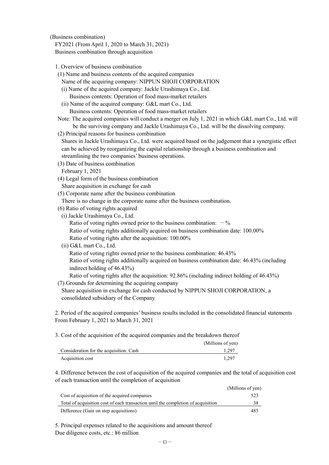(Business combination)

FY2021 (From April 1, 2020 to March 31, 2021) Business combination through acquisition

- 1. Overview of business combination
- (1) Name and business contents of the acquired companies
	- Name of the acquiring company: NIPPUN SHOJI CORPORATION
	- (i) Name of the acquired company: Jackle Urashimaya Co., Ltd. Business contents: Operation of food mass-market retailers
	- (ii) Name of the acquired company: G&L mart Co., Ltd. Business contents: Operation of food mass-market retailers
- Note: The acquired companies will conduct a merger on July 1, 2021 in which G&L mart Co., Ltd. will be the surviving company and Jackle Urashimaya Co., Ltd. will be the dissolving company.
- (2) Principal reasons for business combination
- Shares in Jackle Urashimaya Co., Ltd. were acquired based on the judgement that a synergistic effect can be achieved by reorganizing the capital relationship through a business combination and streamlining the two companies' business operations.
- (3) Date of business combination
- February 1, 2021
- (4) Legal form of the business combination

Share acquisition in exchange for cash

(5) Corporate name after the business combination

There is no change in the corporate name after the business combination.

- (6) Ratio of voting rights acquired
- (i) Jackle Urashimaya Co., Ltd.
	- Ratio of voting rights owned prior to the business combination:  $-\%$
	- Ratio of voting rights additionally acquired on business combination date: 100.00% Ratio of voting rights after the acquisition: 100.00%
- (ii) G&L mart Co., Ltd.

Ratio of voting rights owned prior to the business combination: 46.43% Ratio of voting rights additionally acquired on business combination date: 46.43% (including indirect holding of 46.43%)

Ratio of voting rights after the acquisition: 92.86% (including indirect holding of 46.43%)

(7) Grounds for determining the acquiring company

Share acquisition in exchange for cash conducted by NIPPUN SHOJI CORPORATION, a consolidated subsidiary of the Company

2. Period of the acquired companies' business results included in the consolidated financial statements From February 1, 2021 to March 31, 2021

3. Cost of the acquisition of the acquired companies and the breakdown thereof

|                                         | (Millions of yen) |
|-----------------------------------------|-------------------|
| Consideration for the acquisition: Cash | 1.297             |
| Acquisition cost                        | 1.297             |

4. Difference between the cost of acquisition of the acquired companies and the total of acquisition cost of each transaction until the completion of acquisition

|                                                                                   | (Millions of yen) |
|-----------------------------------------------------------------------------------|-------------------|
| Cost of acquisition of the acquired companies                                     | 523               |
| Total of acquisition cost of each transaction until the completion of acquisition | 38                |
| Difference (Gain on step acquisitions)                                            | 485               |

5. Principal expenses related to the acquisitions and amount thereof Due diligence costs, etc.: ¥6 million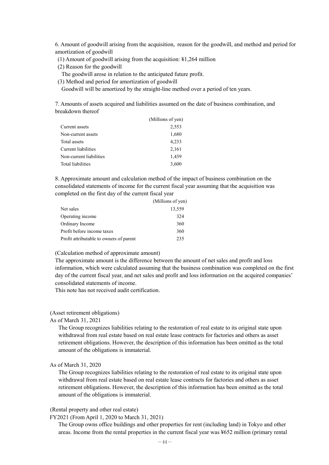6. Amount of goodwill arising from the acquisition, reason for the goodwill, and method and period for amortization of goodwill

- (1) Amount of goodwill arising from the acquisition: ¥1,264 million
- (2) Reason for the goodwill
- The goodwill arose in relation to the anticipated future profit.
- (3) Method and period for amortization of goodwill

Goodwill will be amortized by the straight-line method over a period of ten years.

7. Amounts of assets acquired and liabilities assumed on the date of business combination, and breakdown thereof

|                         | (Millions of yen) |
|-------------------------|-------------------|
| Current assets          | 2,553             |
| Non-current assets      | 1,680             |
| Total assets            | 4,233             |
| Current liabilities     | 2,161             |
| Non-current liabilities | 1,439             |
| Total liabilities       | 3,600             |

8. Approximate amount and calculation method of the impact of business combination on the consolidated statements of income for the current fiscal year assuming that the acquisition was completed on the first day of the current fiscal year

|                                         | (Millions of yen) |
|-----------------------------------------|-------------------|
| Net sales                               | 13,559            |
| Operating income                        | 324               |
| Ordinary Income                         | 360               |
| Profit before income taxes              | 360               |
| Profit attributable to owners of parent | 235               |

(Calculation method of approximate amount)

The approximate amount is the difference between the amount of net sales and profit and loss information, which were calculated assuming that the business combination was completed on the first day of the current fiscal year, and net sales and profit and loss information on the acquired companies' consolidated statements of income.

This note has not received audit certification.

#### (Asset retirement obligations)

#### As of March 31, 2021

The Group recognizes liabilities relating to the restoration of real estate to its original state upon withdrawal from real estate based on real estate lease contracts for factories and others as asset retirement obligations. However, the description of this information has been omitted as the total amount of the obligations is immaterial.

#### As of March 31, 2020

The Group recognizes liabilities relating to the restoration of real estate to its original state upon withdrawal from real estate based on real estate lease contracts for factories and others as asset retirement obligations. However, the description of this information has been omitted as the total amount of the obligations is immaterial.

#### (Rental property and other real estate)

#### FY2021 (From April 1, 2020 to March 31, 2021)

The Group owns office buildings and other properties for rent (including land) in Tokyo and other areas. Income from the rental properties in the current fiscal year was ¥652 million (primary rental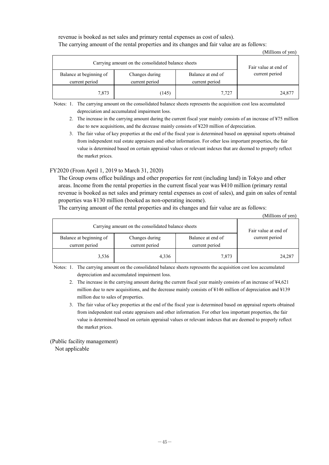revenue is booked as net sales and primary rental expenses as cost of sales). The carrying amount of the rental properties and its changes and fair value are as follows:

|                                                    |                      |                | (Millions of yen) |
|----------------------------------------------------|----------------------|----------------|-------------------|
| Carrying amount on the consolidated balance sheets | Fair value at end of |                |                   |
| Balance at beginning of                            | current period       |                |                   |
| current period                                     | current period       | current period |                   |
| 7,873                                              | (145)                | 7,727          | 24,877            |

Notes: 1. The carrying amount on the consolidated balance sheets represents the acquisition cost less accumulated depreciation and accumulated impairment loss.

- 2. The increase in the carrying amount during the current fiscal year mainly consists of an increase of ¥75 million due to new acquisitions, and the decrease mainly consists of ¥220 million of depreciation.
- 3. The fair value of key properties at the end of the fiscal year is determined based on appraisal reports obtained from independent real estate appraisers and other information. For other less important properties, the fair value is determined based on certain appraisal values or relevant indexes that are deemed to properly reflect the market prices.

#### FY2020 (From April 1, 2019 to March 31, 2020)

The Group owns office buildings and other properties for rent (including land) in Tokyo and other areas. Income from the rental properties in the current fiscal year was ¥410 million (primary rental revenue is booked as net sales and primary rental expenses as cost of sales), and gain on sales of rental properties was ¥130 million (booked as non-operating income).

The carrying amount of the rental properties and its changes and fair value are as follows:

|                                                    |                      |       | (Millions of yen) |
|----------------------------------------------------|----------------------|-------|-------------------|
| Carrying amount on the consolidated balance sheets | Fair value at end of |       |                   |
| Balance at beginning of<br>current period          | current period       |       |                   |
| 3,536                                              | 4,336                | 7,873 | 24,287            |

Notes: 1. The carrying amount on the consolidated balance sheets represents the acquisition cost less accumulated depreciation and accumulated impairment loss.

2. The increase in the carrying amount during the current fiscal year mainly consists of an increase of ¥4,621 million due to new acquisitions, and the decrease mainly consists of ¥146 million of depreciation and ¥139 million due to sales of properties.

3. The fair value of key properties at the end of the fiscal year is determined based on appraisal reports obtained from independent real estate appraisers and other information. For other less important properties, the fair value is determined based on certain appraisal values or relevant indexes that are deemed to properly reflect the market prices.

(Public facility management) Not applicable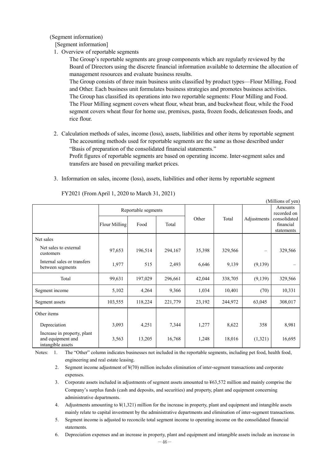(Segment information)

- [Segment information]
- 1. Overview of reportable segments

The Group's reportable segments are group components which are regularly reviewed by the Board of Directors using the discrete financial information available to determine the allocation of management resources and evaluate business results.

The Group consists of three main business units classified by product types—Flour Milling, Food and Other. Each business unit formulates business strategies and promotes business activities. The Group has classified its operations into two reportable segments: Flour Milling and Food. The Flour Milling segment covers wheat flour, wheat bran, and buckwheat flour, while the Food segment covers wheat flour for home use, premixes, pasta, frozen foods, delicatessen foods, and rice flour.

2. Calculation methods of sales, income (loss), assets, liabilities and other items by reportable segment The accounting methods used for reportable segments are the same as those described under "Basis of preparation of the consolidated financial statements."

Profit figures of reportable segments are based on operating income. Inter-segment sales and transfers are based on prevailing market prices.

3. Information on sales, income (loss), assets, liabilities and other items by reportable segment

| (Millions of yen)                                                     |                     |         |         |        |         |             |                                         |
|-----------------------------------------------------------------------|---------------------|---------|---------|--------|---------|-------------|-----------------------------------------|
|                                                                       | Reportable segments |         |         |        |         |             | Amounts<br>recorded on                  |
|                                                                       | Flour Milling       | Food    | Total   | Other  | Total   | Adjustments | consolidated<br>financial<br>statements |
| Net sales                                                             |                     |         |         |        |         |             |                                         |
| Net sales to external<br>customers                                    | 97,653              | 196,514 | 294,167 | 35,398 | 329,566 |             | 329,566                                 |
| Internal sales or transfers<br>between segments                       | 1,977               | 515     | 2,493   | 6,646  | 9,139   | (9,139)     |                                         |
| Total                                                                 | 99,631              | 197,029 | 296,661 | 42,044 | 338,705 | (9,139)     | 329,566                                 |
| Segment income                                                        | 5,102               | 4,264   | 9,366   | 1,034  | 10,401  | (70)        | 10,331                                  |
| Segment assets                                                        | 103,555             | 118,224 | 221,779 | 23,192 | 244,972 | 63,045      | 308,017                                 |
| Other items                                                           |                     |         |         |        |         |             |                                         |
| Depreciation                                                          | 3,093               | 4,251   | 7,344   | 1,277  | 8,622   | 358         | 8,981                                   |
| Increase in property, plant<br>and equipment and<br>intangible assets | 3,563               | 13,205  | 16,768  | 1,248  | 18,016  | (1,321)     | 16,695                                  |

FY2021 (From April 1, 2020 to March 31, 2021)

Notes: 1. The "Other" column indicates businesses not included in the reportable segments, including pet food, health food, engineering and real estate leasing.

2. Segment income adjustment of ¥(70) million includes elimination of inter-segment transactions and corporate expenses.

- 3. Corporate assets included in adjustments of segment assets amounted to ¥63,572 million and mainly comprise the Company's surplus funds (cash and deposits, and securities) and property, plant and equipment concerning administrative departments.
- 4. Adjustments amounting to ¥(1,321) million for the increase in property, plant and equipment and intangible assets mainly relate to capital investment by the administrative departments and elimination of inter-segment transactions.
- 5. Segment income is adjusted to reconcile total segment income to operating income on the consolidated financial statements.

6. Depreciation expenses and an increase in property, plant and equipment and intangible assets include an increase in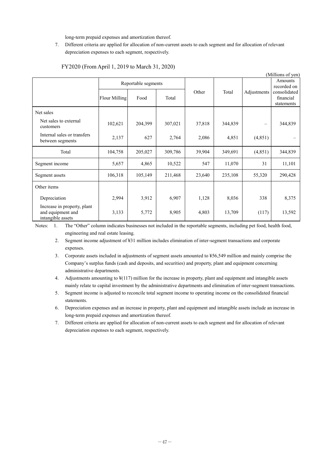long-term prepaid expenses and amortization thereof.

7. Different criteria are applied for allocation of non-current assets to each segment and for allocation of relevant depreciation expenses to each segment, respectively.

| (Millions of yen)                                                     |                     |         |         |        |         |             |                                         |
|-----------------------------------------------------------------------|---------------------|---------|---------|--------|---------|-------------|-----------------------------------------|
|                                                                       | Reportable segments |         |         |        |         |             | Amounts<br>recorded on                  |
|                                                                       | Flour Milling       | Food    | Total   | Other  | Total   | Adjustments | consolidated<br>financial<br>statements |
| Net sales                                                             |                     |         |         |        |         |             |                                         |
| Net sales to external<br>customers                                    | 102,621             | 204,399 | 307,021 | 37,818 | 344,839 |             | 344,839                                 |
| Internal sales or transfers<br>between segments                       | 2,137               | 627     | 2,764   | 2,086  | 4,851   | (4, 851)    |                                         |
| Total                                                                 | 104,758             | 205,027 | 309,786 | 39,904 | 349,691 | (4, 851)    | 344,839                                 |
| Segment income                                                        | 5,657               | 4,865   | 10,522  | 547    | 11,070  | 31          | 11,101                                  |
| Segment assets                                                        | 106,318             | 105,149 | 211,468 | 23,640 | 235,108 | 55,320      | 290,428                                 |
| Other items                                                           |                     |         |         |        |         |             |                                         |
| Depreciation                                                          | 2,994               | 3,912   | 6,907   | 1,128  | 8,036   | 338         | 8,375                                   |
| Increase in property, plant<br>and equipment and<br>intangible assets | 3,133               | 5,772   | 8,905   | 4,803  | 13,709  | (117)       | 13,592                                  |

#### FY2020 (From April 1, 2019 to March 31, 2020)

Notes: 1. The "Other" column indicates businesses not included in the reportable segments, including pet food, health food, engineering and real estate leasing.

- 2. Segment income adjustment of ¥31 million includes elimination of inter-segment transactions and corporate expenses.
- 3. Corporate assets included in adjustments of segment assets amounted to ¥56,549 million and mainly comprise the Company's surplus funds (cash and deposits, and securities) and property, plant and equipment concerning administrative departments.
- 4. Adjustments amounting to ¥(117) million for the increase in property, plant and equipment and intangible assets mainly relate to capital investment by the administrative departments and elimination of inter-segment transactions.
- 5. Segment income is adjusted to reconcile total segment income to operating income on the consolidated financial statements.
- 6. Depreciation expenses and an increase in property, plant and equipment and intangible assets include an increase in long-term prepaid expenses and amortization thereof.
- 7. Different criteria are applied for allocation of non-current assets to each segment and for allocation of relevant depreciation expenses to each segment, respectively.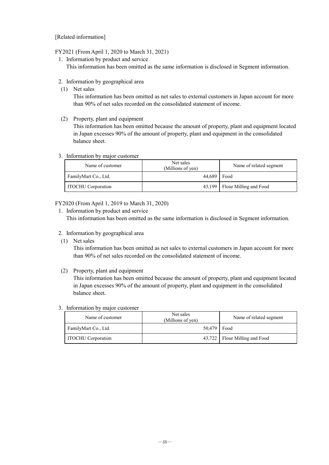[Related information]

#### FY2021 (From April 1, 2020 to March 31, 2021)

1. Information by product and service

This information has been omitted as the same information is disclosed in Segment information.

- 2. Information by geographical area
- (1) Net sales

This information has been omitted as net sales to external customers in Japan account for more than 90% of net sales recorded on the consolidated statement of income.

(2) Property, plant and equipment

This information has been omitted because the amount of property, plant and equipment located in Japan excesses 90% of the amount of property, plant and equipment in the consolidated balance sheet.

3. Information by major customer

| Name of customer          | Net sales<br>(Millions of yen) | Name of related segment         |
|---------------------------|--------------------------------|---------------------------------|
| FamilyMart Co., Ltd.      | 44.689                         | Food                            |
| <b>ITOCHU</b> Corporation |                                | 43,199   Flour Milling and Food |

#### FY2020 (From April 1, 2019 to March 31, 2020)

1. Information by product and service This information has been omitted as the same information is disclosed in Segment information.

- 2. Information by geographical area
- (1) Net sales

This information has been omitted as net sales to external customers in Japan account for more than 90% of net sales recorded on the consolidated statement of income.

(2) Property, plant and equipment

This information has been omitted because the amount of property, plant and equipment located in Japan excesses 90% of the amount of property, plant and equipment in the consolidated balance sheet.

#### 3. Information by major customer

| Name of customer          | Net sales<br>(Millions of yen) | Name of related segment         |
|---------------------------|--------------------------------|---------------------------------|
| FamilyMart Co., Ltd.      | $50,479$ Food                  |                                 |
| <b>ITOCHU</b> Corporation |                                | 43,722   Flour Milling and Food |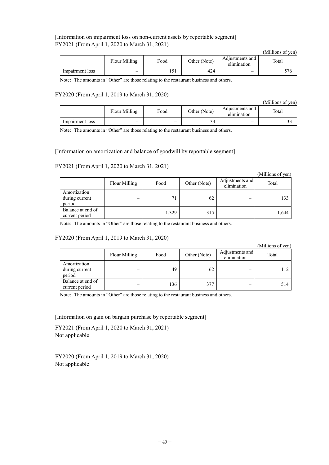#### [Information on impairment loss on non-current assets by reportable segment] FY2021 (From April 1, 2020 to March 31, 2021)

|                 |                 |       |              |                                | (Millions of yen) |
|-----------------|-----------------|-------|--------------|--------------------------------|-------------------|
|                 | Flour Milling   | Food  | Other (Note) | Adjustments and<br>elimination | Total             |
| Impairment loss | $\qquad \qquad$ | 1 J 1 | 424          |                                | 576               |

Note: The amounts in "Other" are those relating to the restaurant business and others.

#### FY2020 (From April 1, 2019 to March 31, 2020)

|                 |                                 |      |              |                                | (Millions of yen) |
|-----------------|---------------------------------|------|--------------|--------------------------------|-------------------|
|                 | Flour Milling                   | Food | Other (Note) | Adjustments and<br>elimination | Total             |
| Impairment loss | $\hspace{0.1mm}-\hspace{0.1mm}$ |      | 33           |                                |                   |

Note: The amounts in "Other" are those relating to the restaurant business and others.

#### [Information on amortization and balance of goodwill by reportable segment]

#### FY2021 (From April 1, 2020 to March 31, 2021)

|                                          |               |       |              |                                | (Millions of yen) |
|------------------------------------------|---------------|-------|--------------|--------------------------------|-------------------|
|                                          | Flour Milling | Food  | Other (Note) | Adjustments and<br>elimination | Total             |
| Amortization<br>during current<br>period |               | 71    | 62           |                                | 133               |
| Balance at end of<br>current period      |               | 1,329 | 315          |                                | 1,644             |

Note: The amounts in "Other" are those relating to the restaurant business and others.

#### FY2020 (From April 1, 2019 to March 31, 2020)

|                                          |               |      |              |                                | (Millions of yen) |
|------------------------------------------|---------------|------|--------------|--------------------------------|-------------------|
|                                          | Flour Milling | Food | Other (Note) | Adjustments and<br>elimination | Total             |
| Amortization<br>during current<br>period |               | 49   | 62           |                                | 112               |
| Balance at end of<br>current period      |               | 136  | 377          |                                | 514               |

Note: The amounts in "Other" are those relating to the restaurant business and others.

[Information on gain on bargain purchase by reportable segment]

FY2021 (From April 1, 2020 to March 31, 2021) Not applicable

FY2020 (From April 1, 2019 to March 31, 2020) Not applicable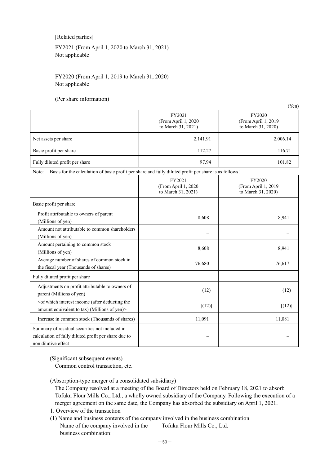[Related parties]

FY2021 (From April 1, 2020 to March 31, 2021) Not applicable

#### FY2020 (From April 1, 2019 to March 31, 2020) Not applicable

(Per share information)

|                                                                                                                               |                                                     | (Yen)                                               |
|-------------------------------------------------------------------------------------------------------------------------------|-----------------------------------------------------|-----------------------------------------------------|
|                                                                                                                               | FY2021<br>(From April 1, 2020<br>to March 31, 2021) | FY2020<br>(From April 1, 2019<br>to March 31, 2020) |
| Net assets per share                                                                                                          | 2,141.91                                            | 2,006.14                                            |
| Basic profit per share                                                                                                        | 112.27                                              | 116.71                                              |
| Fully diluted profit per share                                                                                                | 97.94                                               | 101.82                                              |
| Basis for the calculation of basic profit per share and fully diluted profit per share is as follows:<br>Note:                |                                                     |                                                     |
|                                                                                                                               | FY2021<br>(From April 1, 2020<br>to March 31, 2021) | FY2020<br>(From April 1, 2019<br>to March 31, 2020) |
| Basic profit per share                                                                                                        |                                                     |                                                     |
| Profit attributable to owners of parent<br>(Millions of yen)                                                                  | 8,608                                               | 8,941                                               |
| Amount not attributable to common shareholders<br>(Millions of yen)                                                           |                                                     |                                                     |
| Amount pertaining to common stock<br>(Millions of yen)                                                                        | 8,608                                               | 8,941                                               |
| Average number of shares of common stock in<br>the fiscal year (Thousands of shares)                                          | 76,680                                              | 76,617                                              |
| Fully diluted profit per share                                                                                                |                                                     |                                                     |
| Adjustments on profit attributable to owners of<br>parent (Millions of yen)                                                   | (12)                                                | (12)                                                |
| <of (after="" deducting="" income="" interest="" the<br="" which="">amount equivalent to tax) (Millions of yen)&gt;</of>      | [(12)]                                              | [(12)]                                              |
| Increase in common stock (Thousands of shares)                                                                                | 11,091                                              | 11,081                                              |
| Summary of residual securities not included in<br>calculation of fully diluted profit per share due to<br>non dilutive effect |                                                     |                                                     |

(Significant subsequent events)

Common control transaction, etc.

(Absorption-type merger of a consolidated subsidiary)

The Company resolved at a meeting of the Board of Directors held on February 18, 2021 to absorb Tofuku Flour Mills Co., Ltd., a wholly owned subsidiary of the Company. Following the execution of a merger agreement on the same date, the Company has absorbed the subsidiary on April 1, 2021.

- 1. Overview of the transaction
- (1) Name and business contents of the company involved in the business combination Name of the company involved in the business combination: Tofuku Flour Mills Co., Ltd.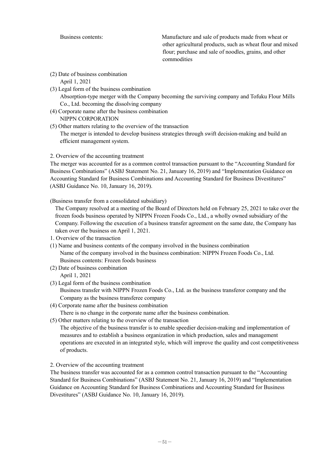Business contents: Manufacture and sale of products made from wheat or other agricultural products, such as wheat flour and mixed flour; purchase and sale of noodles, grains, and other commodities

- (2) Date of business combination April 1, 2021
- (3) Legal form of the business combination Absorption-type merger with the Company becoming the surviving company and Tofuku Flour Mills Co., Ltd. becoming the dissolving company
	- (4) Corporate name after the business combination NIPPN CORPORATION
	- (5) Other matters relating to the overview of the transaction The merger is intended to develop business strategies through swift decision-making and build an efficient management system.

#### 2. Overview of the accounting treatment

The merger was accounted for as a common control transaction pursuant to the "Accounting Standard for Business Combinations" (ASBJ Statement No. 21, January 16, 2019) and "Implementation Guidance on Accounting Standard for Business Combinations and Accounting Standard for Business Divestitures" (ASBJ Guidance No. 10, January 16, 2019).

#### (Business transfer from a consolidated subsidiary)

The Company resolved at a meeting of the Board of Directors held on February 25, 2021 to take over the frozen foods business operated by NIPPN Frozen Foods Co., Ltd., a wholly owned subsidiary of the Company. Following the execution of a business transfer agreement on the same date, the Company has taken over the business on April 1, 2021.

- 1. Overview of the transaction
- (1) Name and business contents of the company involved in the business combination Name of the company involved in the business combination: NIPPN Frozen Foods Co., Ltd. Business contents: Frozen foods business
- (2) Date of business combination April 1, 2021
- (3) Legal form of the business combination Business transfer with NIPPN Frozen Foods Co., Ltd. as the business transferor company and the Company as the business transferee company
- (4) Corporate name after the business combination There is no change in the corporate name after the business combination.
- (5) Other matters relating to the overview of the transaction

The objective of the business transfer is to enable speedier decision-making and implementation of measures and to establish a business organization in which production, sales and management operations are executed in an integrated style, which will improve the quality and cost competitiveness of products.

#### 2. Overview of the accounting treatment

The business transfer was accounted for as a common control transaction pursuant to the "Accounting Standard for Business Combinations" (ASBJ Statement No. 21, January 16, 2019) and "Implementation Guidance on Accounting Standard for Business Combinations and Accounting Standard for Business Divestitures" (ASBJ Guidance No. 10, January 16, 2019).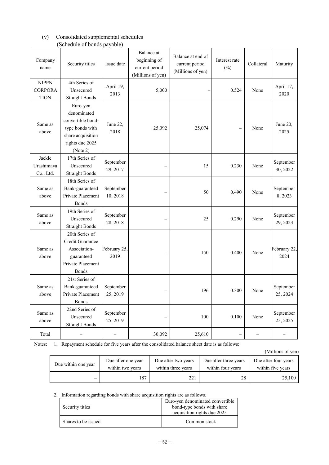#### (v) Consolidated supplemental schedules (Schedule of bonds payable)

| Company<br>name                               | Security titles                                                                                                     | Issue date            | Balance at<br>beginning of<br>current period<br>(Millions of yen) | Balance at end of<br>current period<br>(Millions of yen) | Interest rate<br>$(\%)$ | Collateral | Maturity              |
|-----------------------------------------------|---------------------------------------------------------------------------------------------------------------------|-----------------------|-------------------------------------------------------------------|----------------------------------------------------------|-------------------------|------------|-----------------------|
| <b>NIPPN</b><br><b>CORPORA</b><br><b>TION</b> | 4th Series of<br>Unsecured<br><b>Straight Bonds</b>                                                                 | April 19,<br>2013     | 5,000                                                             |                                                          | 0.524                   | None       | April 17,<br>2020     |
| Same as<br>above                              | Euro-yen<br>denominated<br>convertible bond-<br>type bonds with<br>share acquisition<br>rights due 2025<br>(Note 2) | June 22,<br>2018      | 25,092                                                            | 25,074                                                   |                         | None       | June 20,<br>2025      |
| Jackle<br>Urashimaya<br>Co., Ltd.             | 17th Series of<br>Unsecured<br><b>Straight Bonds</b>                                                                | September<br>29, 2017 |                                                                   | 15                                                       | 0.230                   | None       | September<br>30, 2022 |
| Same as<br>above                              | 18th Series of<br>Bank-guaranteed<br>Private Placement<br><b>Bonds</b>                                              | September<br>10, 2018 |                                                                   | 50                                                       | 0.490                   | None       | September<br>8,2023   |
| Same as<br>above                              | 19th Series of<br>Unsecured<br><b>Straight Bonds</b>                                                                | September<br>28, 2018 |                                                                   | 25                                                       | 0.290                   | None       | September<br>29, 2023 |
| Same as<br>above                              | 20th Series of<br>Credit Guarantee<br>Association-<br>guaranteed<br>Private Placement<br><b>Bonds</b>               | February 25,<br>2019  |                                                                   | 150                                                      | 0.400                   | None       | February 22,<br>2024  |
| Same as<br>above                              | 21st Series of<br>Bank-guaranteed<br>Private Placement<br>Bonds                                                     | September<br>25, 2019 |                                                                   | 196                                                      | 0.300                   | None       | September<br>25, 2024 |
| Same as<br>above                              | 22nd Series of<br>Unsecured<br><b>Straight Bonds</b>                                                                | September<br>25, 2019 |                                                                   | 100                                                      | 0.100                   | None       | September<br>25, 2025 |
| Total                                         | -                                                                                                                   |                       | 30,092                                                            | 25,610                                                   |                         | -          |                       |

Notes: 1. Repayment schedule for five years after the consolidated balance sheet date is as follows:

(Millions of yen)

| Due within one year | Due after one year | Due after two years | Due after three years | Due after four years |
|---------------------|--------------------|---------------------|-----------------------|----------------------|
|                     | within two years   | within three years  | within four years     | within five years    |
|                     | 87                 |                     | 28                    | 25,100               |

2. Information regarding bonds with share acquisition rights are as follows:

| Security titles     | Euro-yen denominated convertible<br>bond-type bonds with share<br>acquisition rights due 2025 |
|---------------------|-----------------------------------------------------------------------------------------------|
| Shares to be issued | Common stock                                                                                  |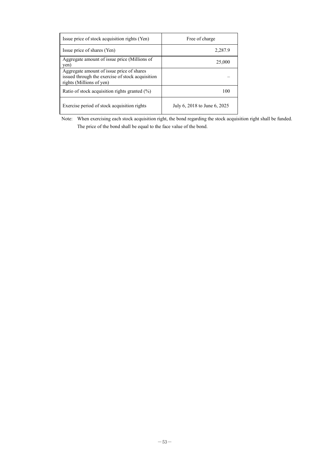| Issue price of stock acquisition rights (Yen)                                                                             | Free of charge               |
|---------------------------------------------------------------------------------------------------------------------------|------------------------------|
| Issue price of shares (Yen)                                                                                               | 2,287.9                      |
| Aggregate amount of issue price (Millions of<br>yen)                                                                      | 25,000                       |
| Aggregate amount of issue price of shares<br>issued through the exercise of stock acquisition<br>rights (Millions of yen) |                              |
| Ratio of stock acquisition rights granted (%)                                                                             | 100                          |
| Exercise period of stock acquisition rights                                                                               | July 6, 2018 to June 6, 2025 |

Note: When exercising each stock acquisition right, the bond regarding the stock acquisition right shall be funded. The price of the bond shall be equal to the face value of the bond.